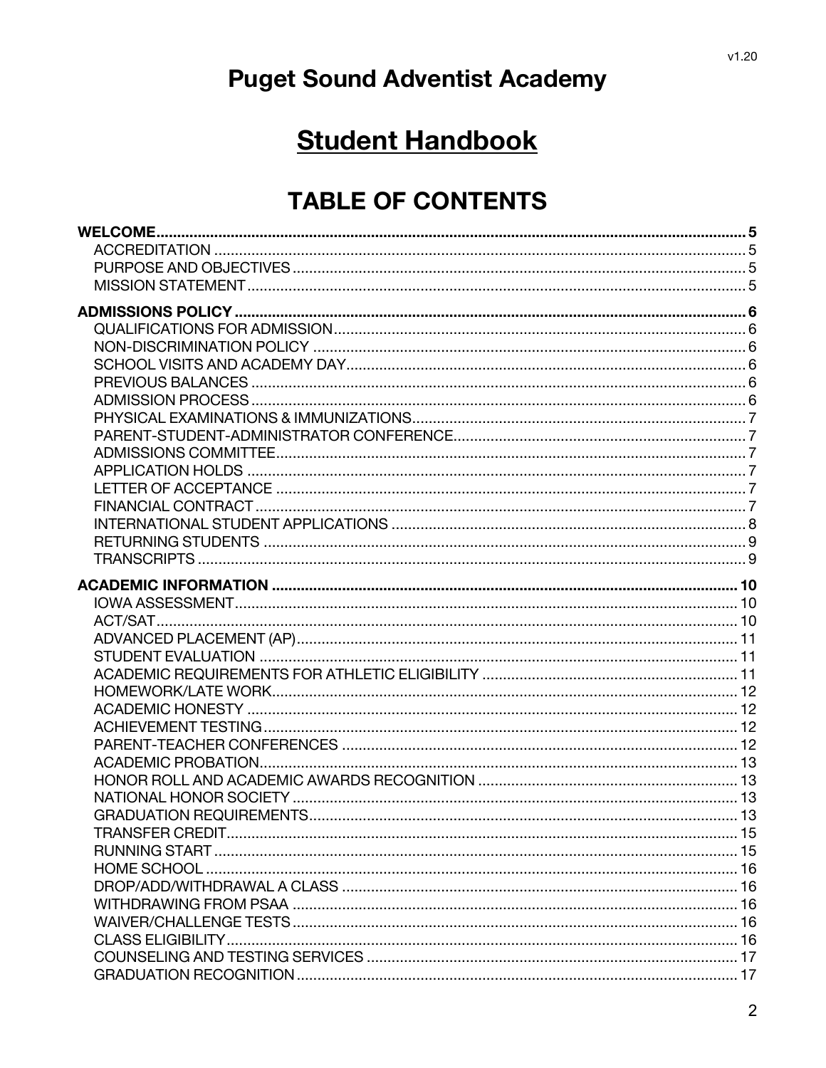# **Puget Sound Adventist Academy**

# **Student Handbook**

## **TABLE OF CONTENTS**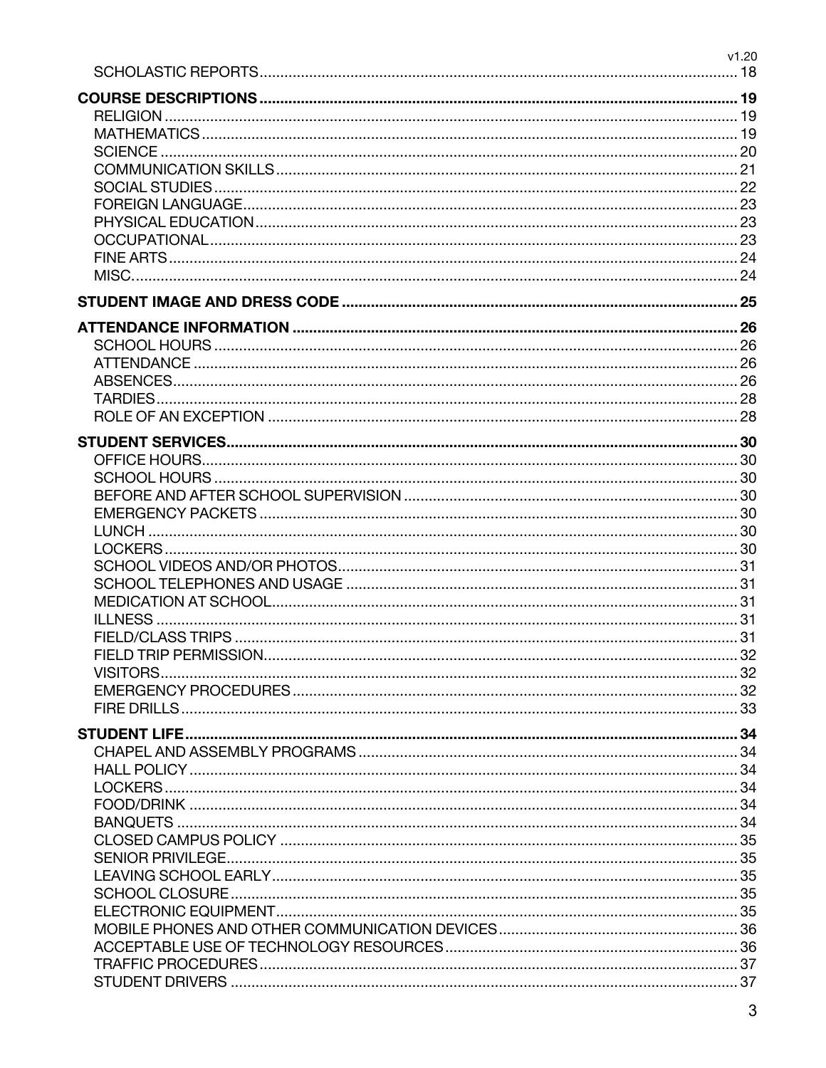|          | v1.20 |
|----------|-------|
|          |       |
|          |       |
|          |       |
|          |       |
|          |       |
|          |       |
|          |       |
|          |       |
|          |       |
|          |       |
|          |       |
|          |       |
|          |       |
|          |       |
|          |       |
|          |       |
|          |       |
|          |       |
|          |       |
|          |       |
|          |       |
|          |       |
|          |       |
|          |       |
|          |       |
|          |       |
|          |       |
|          |       |
|          |       |
|          |       |
|          |       |
|          |       |
|          |       |
| VISITORS |       |
|          |       |
|          |       |
|          |       |
|          |       |
|          |       |
|          |       |
|          |       |
|          |       |
|          |       |
|          |       |
|          |       |
|          |       |
|          |       |
|          |       |
|          |       |
|          |       |
|          |       |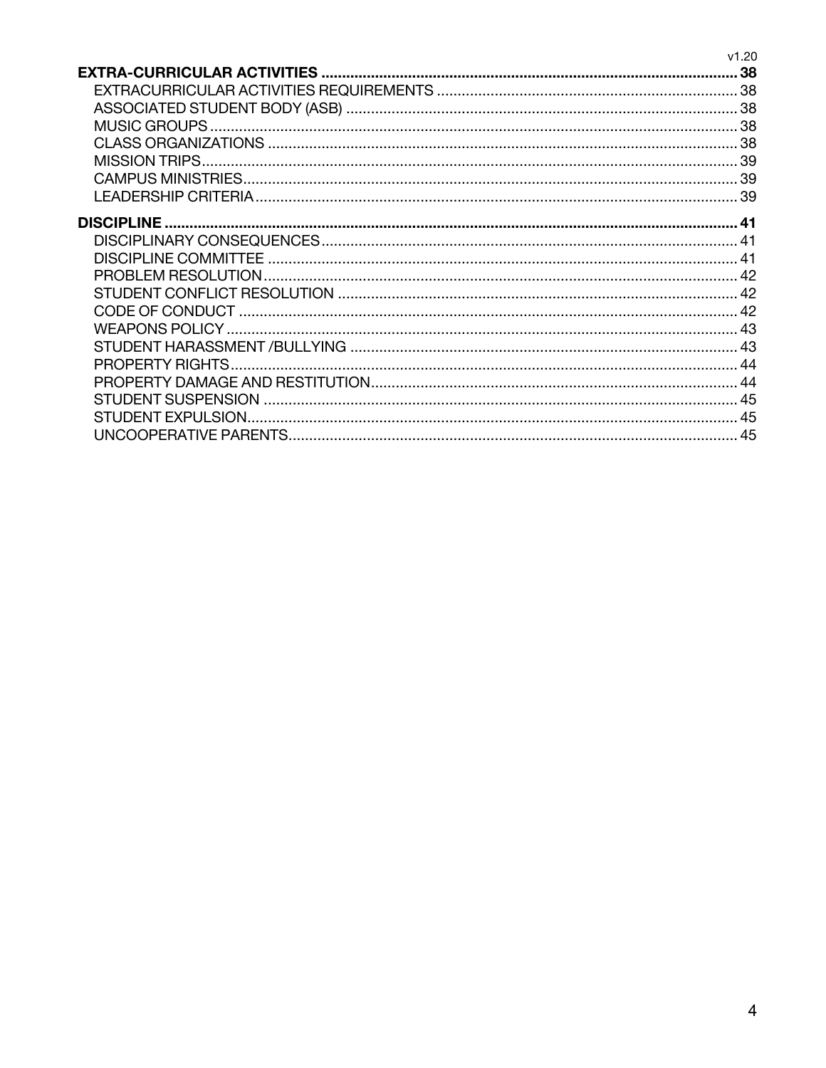|                       | v1.20 |
|-----------------------|-------|
|                       |       |
|                       |       |
|                       |       |
|                       |       |
|                       |       |
| <b>MISSION TRIPS.</b> |       |
|                       |       |
|                       |       |
|                       |       |
| <b>DISCIPLINE</b>     |       |
|                       |       |
|                       |       |
|                       |       |
|                       |       |
|                       |       |
|                       |       |
|                       |       |
|                       |       |
|                       |       |
|                       |       |
| STUDENT EXPULSION.    |       |
|                       | 45    |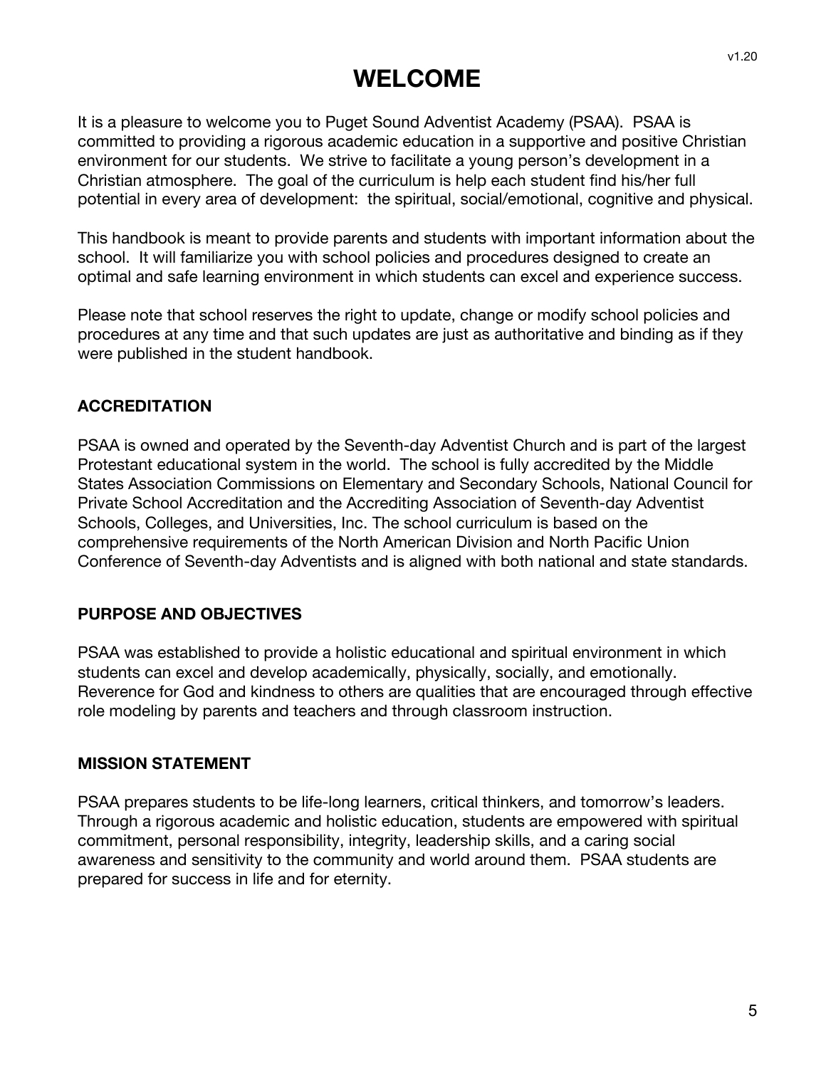## **WELCOME**

It is a pleasure to welcome you to Puget Sound Adventist Academy (PSAA). PSAA is committed to providing a rigorous academic education in a supportive and positive Christian environment for our students. We strive to facilitate a young person's development in a Christian atmosphere. The goal of the curriculum is help each student find his/her full potential in every area of development: the spiritual, social/emotional, cognitive and physical.

This handbook is meant to provide parents and students with important information about the school. It will familiarize you with school policies and procedures designed to create an optimal and safe learning environment in which students can excel and experience success.

Please note that school reserves the right to update, change or modify school policies and procedures at any time and that such updates are just as authoritative and binding as if they were published in the student handbook.

## **ACCREDITATION**

PSAA is owned and operated by the Seventh-day Adventist Church and is part of the largest Protestant educational system in the world. The school is fully accredited by the Middle States Association Commissions on Elementary and Secondary Schools, National Council for Private School Accreditation and the Accrediting Association of Seventh-day Adventist Schools, Colleges, and Universities, Inc. The school curriculum is based on the comprehensive requirements of the North American Division and North Pacific Union Conference of Seventh-day Adventists and is aligned with both national and state standards.

#### **PURPOSE AND OBJECTIVES**

PSAA was established to provide a holistic educational and spiritual environment in which students can excel and develop academically, physically, socially, and emotionally. Reverence for God and kindness to others are qualities that are encouraged through effective role modeling by parents and teachers and through classroom instruction.

#### **MISSION STATEMENT**

PSAA prepares students to be life-long learners, critical thinkers, and tomorrow's leaders. Through a rigorous academic and holistic education, students are empowered with spiritual commitment, personal responsibility, integrity, leadership skills, and a caring social awareness and sensitivity to the community and world around them. PSAA students are prepared for success in life and for eternity.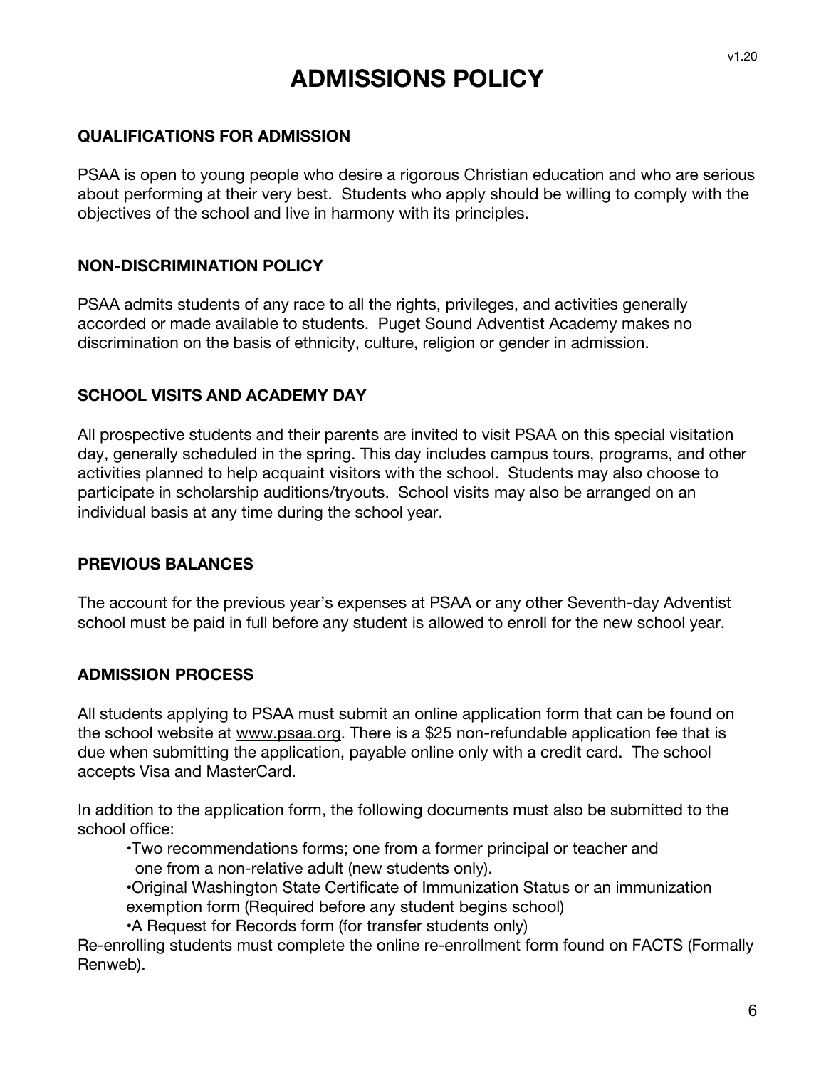## **ADMISSIONS POLICY**

#### **QUALIFICATIONS FOR ADMISSION**

PSAA is open to young people who desire a rigorous Christian education and who are serious about performing at their very best. Students who apply should be willing to comply with the objectives of the school and live in harmony with its principles.

#### **NON-DISCRIMINATION POLICY**

PSAA admits students of any race to all the rights, privileges, and activities generally accorded or made available to students. Puget Sound Adventist Academy makes no discrimination on the basis of ethnicity, culture, religion or gender in admission.

#### **SCHOOL VISITS AND ACADEMY DAY**

All prospective students and their parents are invited to visit PSAA on this special visitation day, generally scheduled in the spring. This day includes campus tours, programs, and other activities planned to help acquaint visitors with the school. Students may also choose to participate in scholarship auditions/tryouts. School visits may also be arranged on an individual basis at any time during the school year.

#### **PREVIOUS BALANCES**

The account for the previous year's expenses at PSAA or any other Seventh-day Adventist school must be paid in full before any student is allowed to enroll for the new school year.

#### **ADMISSION PROCESS**

All students applying to PSAA must submit an online application form that can be found on the school website at www.psaa.org. There is a \$25 non-refundable application fee that is due when submitting the application, payable online only with a credit card. The school accepts Visa and MasterCard.

In addition to the application form, the following documents must also be submitted to the school office:

•Two recommendations forms; one from a former principal or teacher and one from a non-relative adult (new students only).

•Original Washington State Certificate of Immunization Status or an immunization exemption form (Required before any student begins school)

•A Request for Records form (for transfer students only)

Re-enrolling students must complete the online re-enrollment form found on FACTS (Formally Renweb).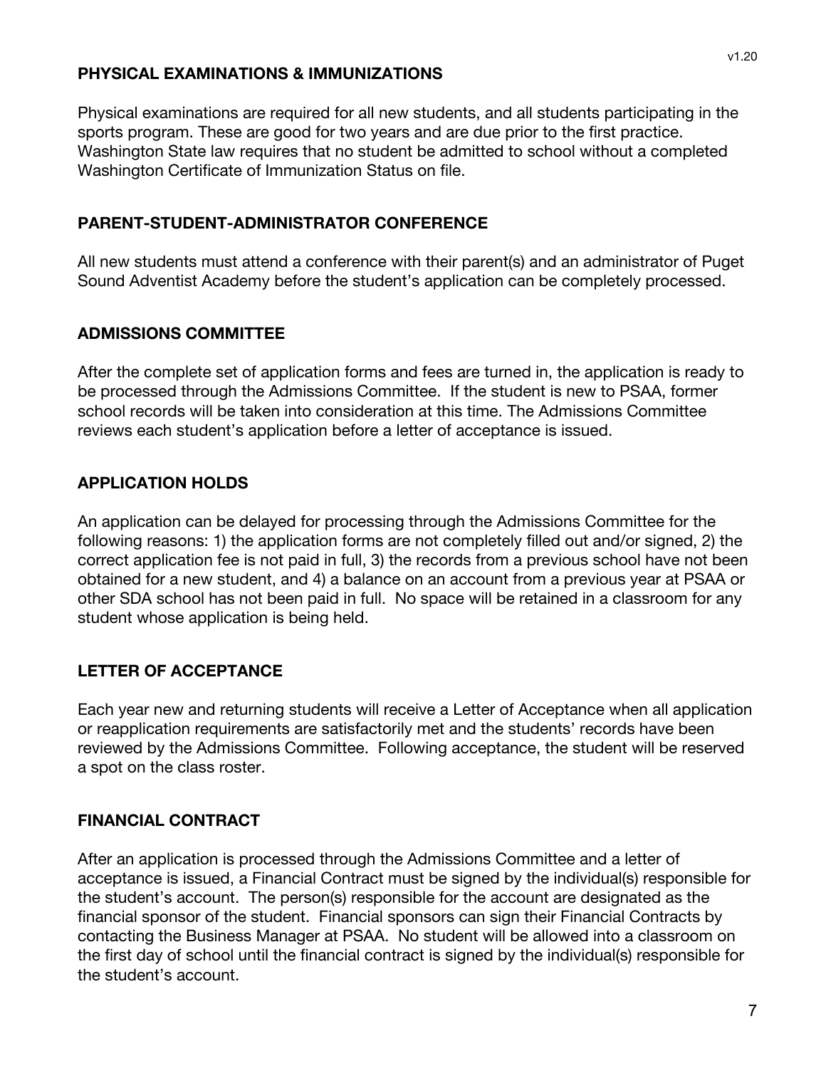#### **PHYSICAL EXAMINATIONS & IMMUNIZATIONS**

Physical examinations are required for all new students, and all students participating in the sports program. These are good for two years and are due prior to the first practice. Washington State law requires that no student be admitted to school without a completed Washington Certificate of Immunization Status on file.

#### **PARENT-STUDENT-ADMINISTRATOR CONFERENCE**

All new students must attend a conference with their parent(s) and an administrator of Puget Sound Adventist Academy before the student's application can be completely processed.

## **ADMISSIONS COMMITTEE**

After the complete set of application forms and fees are turned in, the application is ready to be processed through the Admissions Committee. If the student is new to PSAA, former school records will be taken into consideration at this time. The Admissions Committee reviews each student's application before a letter of acceptance is issued.

## **APPLICATION HOLDS**

An application can be delayed for processing through the Admissions Committee for the following reasons: 1) the application forms are not completely filled out and/or signed, 2) the correct application fee is not paid in full, 3) the records from a previous school have not been obtained for a new student, and 4) a balance on an account from a previous year at PSAA or other SDA school has not been paid in full. No space will be retained in a classroom for any student whose application is being held.

## **LETTER OF ACCEPTANCE**

Each year new and returning students will receive a Letter of Acceptance when all application or reapplication requirements are satisfactorily met and the students' records have been reviewed by the Admissions Committee. Following acceptance, the student will be reserved a spot on the class roster.

## **FINANCIAL CONTRACT**

After an application is processed through the Admissions Committee and a letter of acceptance is issued, a Financial Contract must be signed by the individual(s) responsible for the student's account. The person(s) responsible for the account are designated as the financial sponsor of the student. Financial sponsors can sign their Financial Contracts by contacting the Business Manager at PSAA. No student will be allowed into a classroom on the first day of school until the financial contract is signed by the individual(s) responsible for the student's account.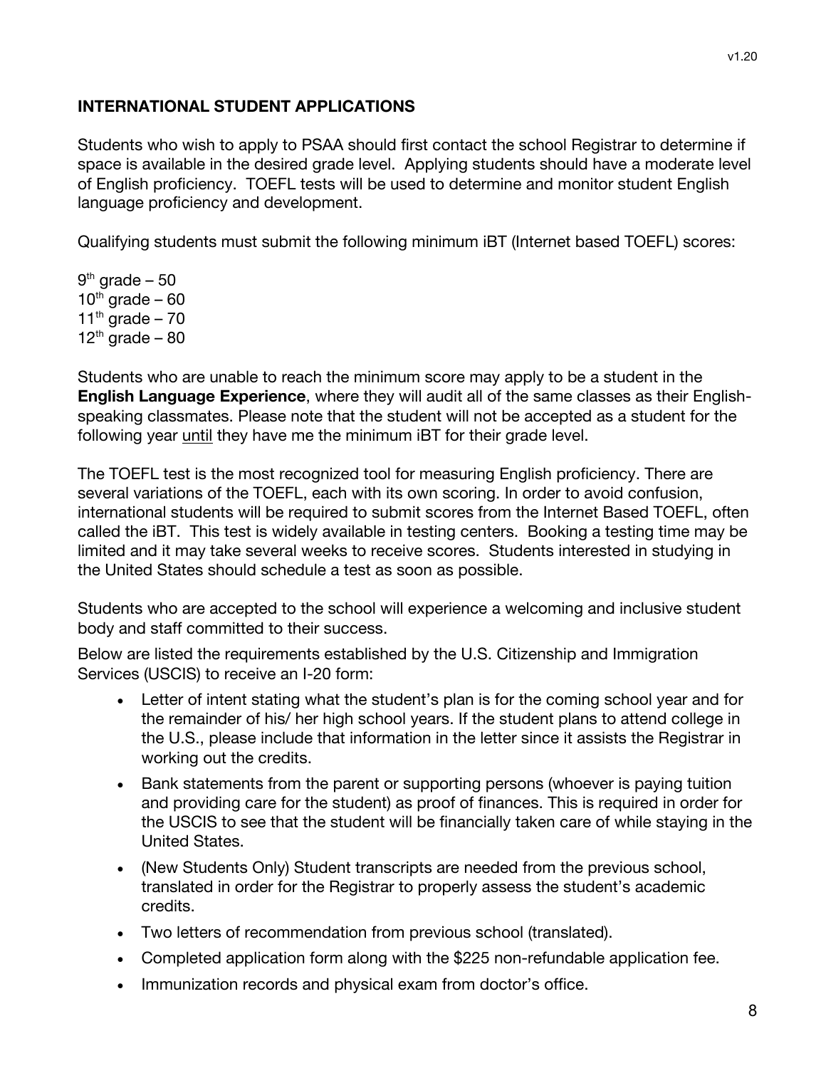## **INTERNATIONAL STUDENT APPLICATIONS**

Students who wish to apply to PSAA should first contact the school Registrar to determine if space is available in the desired grade level. Applying students should have a moderate level of English proficiency. TOEFL tests will be used to determine and monitor student English language proficiency and development.

Qualifying students must submit the following minimum iBT (Internet based TOEFL) scores:

 $9<sup>th</sup>$  grade – 50  $10^{th}$  grade – 60 11<sup>th</sup> grade – 70  $12<sup>th</sup>$  grade – 80

Students who are unable to reach the minimum score may apply to be a student in the **English Language Experience**, where they will audit all of the same classes as their Englishspeaking classmates. Please note that the student will not be accepted as a student for the following year until they have me the minimum iBT for their grade level.

The TOEFL test is the most recognized tool for measuring English proficiency. There are several variations of the TOEFL, each with its own scoring. In order to avoid confusion, international students will be required to submit scores from the Internet Based TOEFL, often called the iBT. This test is widely available in testing centers. Booking a testing time may be limited and it may take several weeks to receive scores. Students interested in studying in the United States should schedule a test as soon as possible.

Students who are accepted to the school will experience a welcoming and inclusive student body and staff committed to their success.

Below are listed the requirements established by the U.S. Citizenship and Immigration Services (USCIS) to receive an I-20 form:

- Letter of intent stating what the student's plan is for the coming school year and for the remainder of his/ her high school years. If the student plans to attend college in the U.S., please include that information in the letter since it assists the Registrar in working out the credits.
- Bank statements from the parent or supporting persons (whoever is paying tuition and providing care for the student) as proof of finances. This is required in order for the USCIS to see that the student will be financially taken care of while staying in the United States.
- (New Students Only) Student transcripts are needed from the previous school, translated in order for the Registrar to properly assess the student's academic credits.
- Two letters of recommendation from previous school (translated).
- Completed application form along with the \$225 non-refundable application fee.
- Immunization records and physical exam from doctor's office.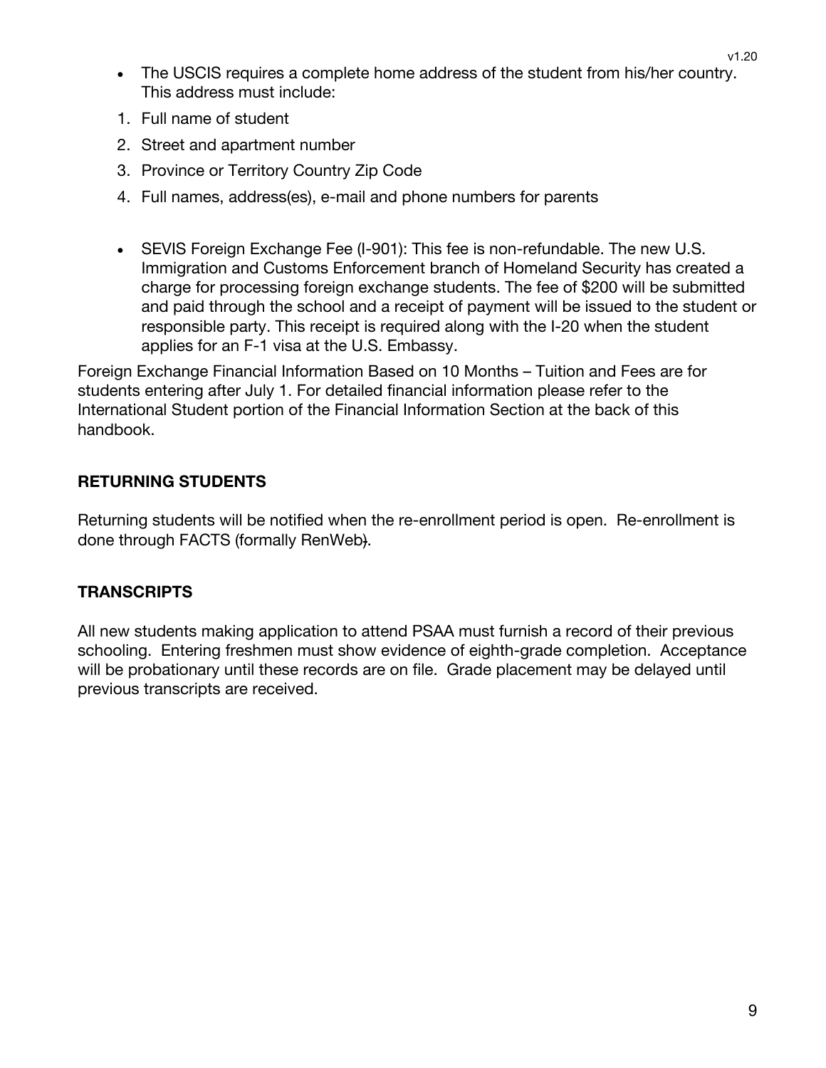- The USCIS requires a complete home address of the student from his/her country. This address must include:
- 1. Full name of student
- 2. Street and apartment number
- 3. Province or Territory Country Zip Code
- 4. Full names, address(es), e-mail and phone numbers for parents
- SEVIS Foreign Exchange Fee (I-901): This fee is non-refundable. The new U.S. Immigration and Customs Enforcement branch of Homeland Security has created a charge for processing foreign exchange students. The fee of \$200 will be submitted and paid through the school and a receipt of payment will be issued to the student or responsible party. This receipt is required along with the I-20 when the student applies for an F-1 visa at the U.S. Embassy.

Foreign Exchange Financial Information Based on 10 Months – Tuition and Fees are for students entering after July 1. For detailed financial information please refer to the International Student portion of the Financial Information Section at the back of this handbook.

## **RETURNING STUDENTS**

Returning students will be notified when the re-enrollment period is open. Re-enrollment is done through FACTS (formally RenWeb).

## **TRANSCRIPTS**

All new students making application to attend PSAA must furnish a record of their previous schooling. Entering freshmen must show evidence of eighth-grade completion. Acceptance will be probationary until these records are on file. Grade placement may be delayed until previous transcripts are received.

v1.20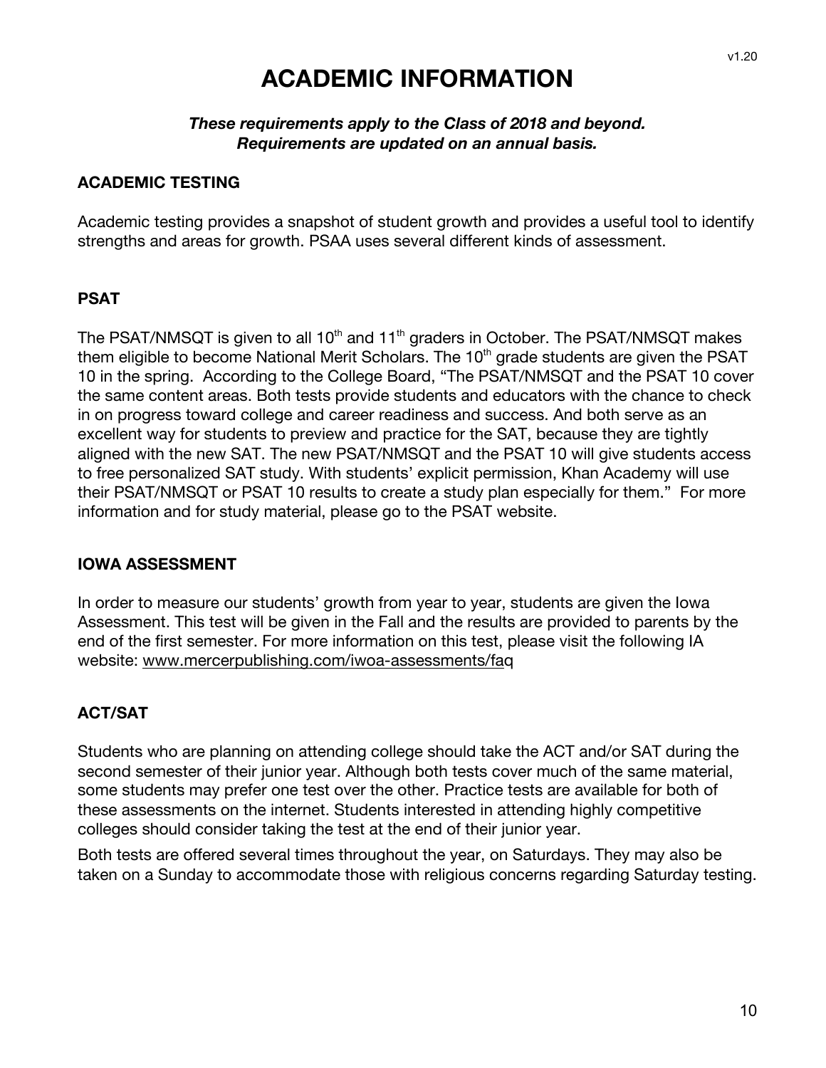## **ACADEMIC INFORMATION**

#### *These requirements apply to the Class of 2018 and beyond. Requirements are updated on an annual basis.*

#### **ACADEMIC TESTING**

Academic testing provides a snapshot of student growth and provides a useful tool to identify strengths and areas for growth. PSAA uses several different kinds of assessment.

#### **PSAT**

The PSAT/NMSQT is given to all  $10<sup>th</sup>$  and  $11<sup>th</sup>$  graders in October. The PSAT/NMSQT makes them eligible to become National Merit Scholars. The 10<sup>th</sup> grade students are given the PSAT 10 in the spring. According to the College Board, "The PSAT/NMSQT and the PSAT 10 cover the same content areas. Both tests provide students and educators with the chance to check in on progress toward college and career readiness and success. And both serve as an excellent way for students to preview and practice for the SAT, because they are tightly aligned with the new SAT. The new PSAT/NMSQT and the PSAT 10 will give students access to free personalized SAT study. With students' explicit permission, Khan Academy will use their PSAT/NMSQT or PSAT 10 results to create a study plan especially for them." For more information and for study material, please go to the PSAT website.

#### **IOWA ASSESSMENT**

In order to measure our students' growth from year to year, students are given the Iowa Assessment. This test will be given in the Fall and the results are provided to parents by the end of the first semester. For more information on this test, please visit the following IA website: www.mercerpublishing.com/iwoa-assessments/faq

#### **ACT/SAT**

Students who are planning on attending college should take the ACT and/or SAT during the second semester of their junior year. Although both tests cover much of the same material, some students may prefer one test over the other. Practice tests are available for both of these assessments on the internet. Students interested in attending highly competitive colleges should consider taking the test at the end of their junior year.

Both tests are offered several times throughout the year, on Saturdays. They may also be taken on a Sunday to accommodate those with religious concerns regarding Saturday testing.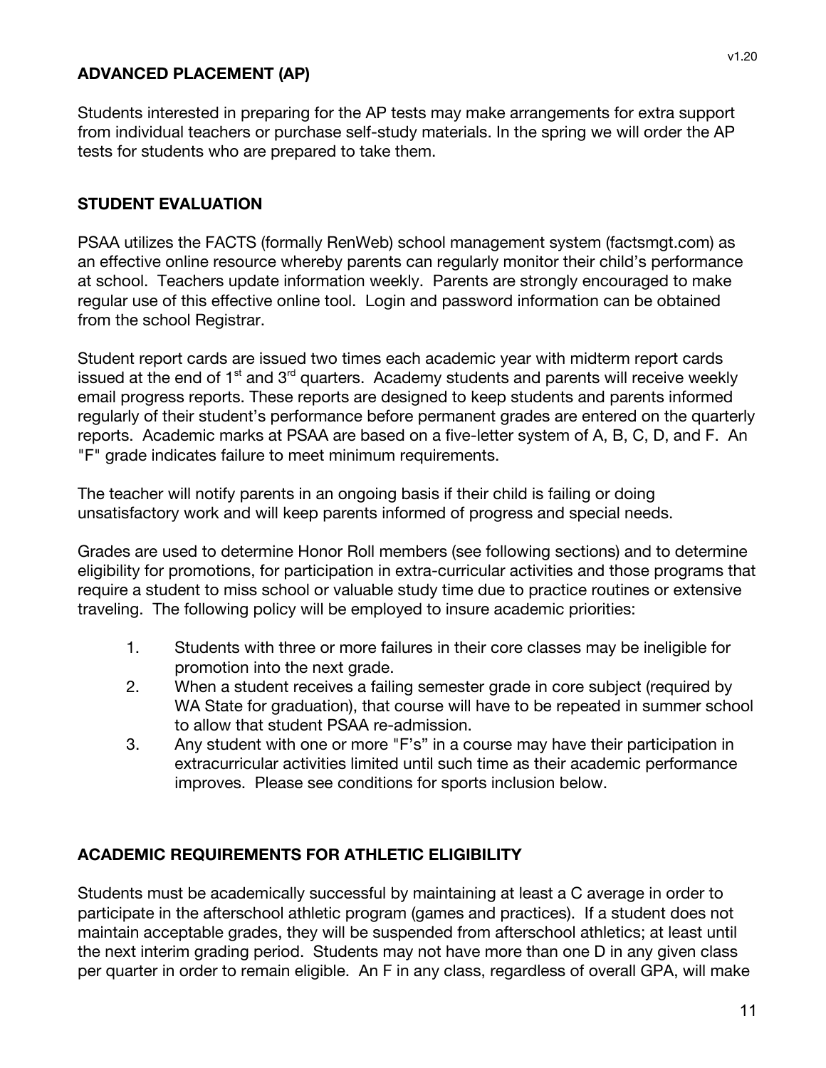#### **ADVANCED PLACEMENT (AP)**

Students interested in preparing for the AP tests may make arrangements for extra support from individual teachers or purchase self-study materials. In the spring we will order the AP tests for students who are prepared to take them.

#### **STUDENT EVALUATION**

PSAA utilizes the FACTS (formally RenWeb) school management system (factsmgt.com) as an effective online resource whereby parents can regularly monitor their child's performance at school. Teachers update information weekly. Parents are strongly encouraged to make regular use of this effective online tool. Login and password information can be obtained from the school Registrar.

Student report cards are issued two times each academic year with midterm report cards issued at the end of  $1<sup>st</sup>$  and  $3<sup>rd</sup>$  quarters. Academy students and parents will receive weekly email progress reports. These reports are designed to keep students and parents informed regularly of their student's performance before permanent grades are entered on the quarterly reports. Academic marks at PSAA are based on a five-letter system of A, B, C, D, and F. An "F" grade indicates failure to meet minimum requirements.

The teacher will notify parents in an ongoing basis if their child is failing or doing unsatisfactory work and will keep parents informed of progress and special needs.

Grades are used to determine Honor Roll members (see following sections) and to determine eligibility for promotions, for participation in extra-curricular activities and those programs that require a student to miss school or valuable study time due to practice routines or extensive traveling. The following policy will be employed to insure academic priorities:

- 1. Students with three or more failures in their core classes may be ineligible for promotion into the next grade.
- 2. When a student receives a failing semester grade in core subject (required by WA State for graduation), that course will have to be repeated in summer school to allow that student PSAA re-admission.
- 3. Any student with one or more "F's" in a course may have their participation in extracurricular activities limited until such time as their academic performance improves. Please see conditions for sports inclusion below.

#### **ACADEMIC REQUIREMENTS FOR ATHLETIC ELIGIBILITY**

Students must be academically successful by maintaining at least a C average in order to participate in the afterschool athletic program (games and practices). If a student does not maintain acceptable grades, they will be suspended from afterschool athletics; at least until the next interim grading period. Students may not have more than one D in any given class per quarter in order to remain eligible. An F in any class, regardless of overall GPA, will make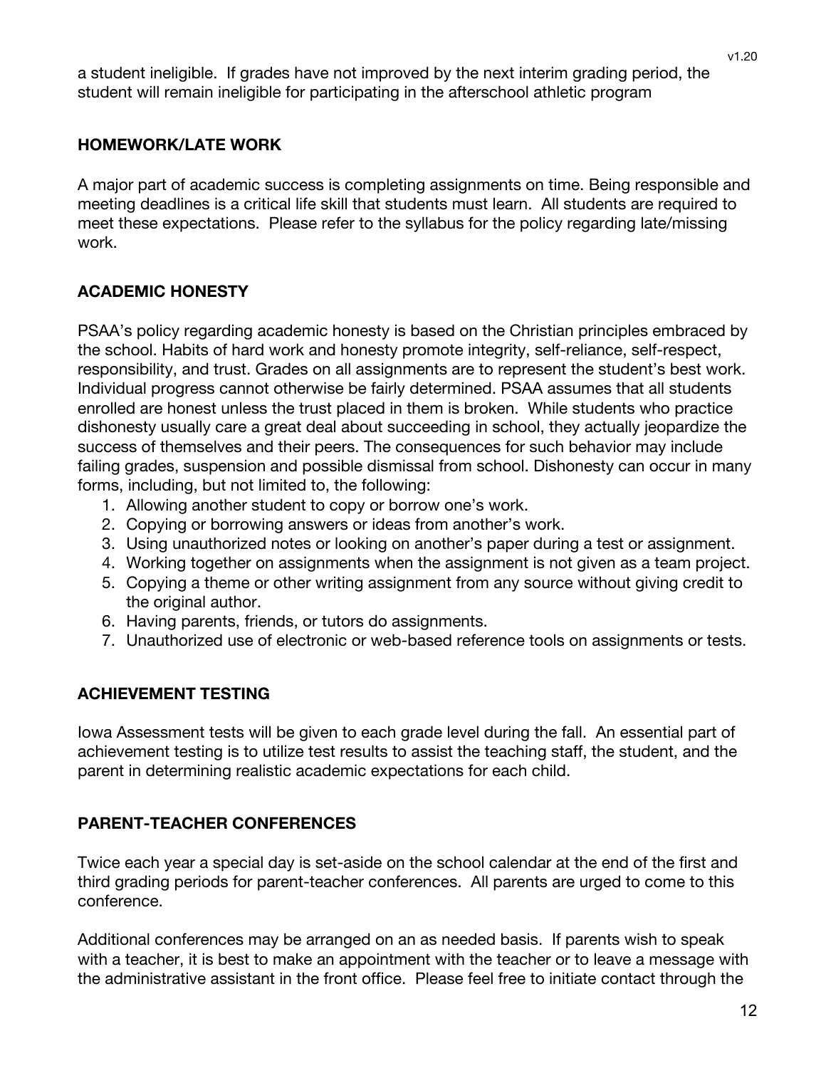a student ineligible. If grades have not improved by the next interim grading period, the student will remain ineligible for participating in the afterschool athletic program

## **HOMEWORK/LATE WORK**

A major part of academic success is completing assignments on time. Being responsible and meeting deadlines is a critical life skill that students must learn. All students are required to meet these expectations. Please refer to the syllabus for the policy regarding late/missing work.

## **ACADEMIC HONESTY**

PSAA's policy regarding academic honesty is based on the Christian principles embraced by the school. Habits of hard work and honesty promote integrity, self-reliance, self-respect, responsibility, and trust. Grades on all assignments are to represent the student's best work. Individual progress cannot otherwise be fairly determined. PSAA assumes that all students enrolled are honest unless the trust placed in them is broken. While students who practice dishonesty usually care a great deal about succeeding in school, they actually jeopardize the success of themselves and their peers. The consequences for such behavior may include failing grades, suspension and possible dismissal from school. Dishonesty can occur in many forms, including, but not limited to, the following:

- 1. Allowing another student to copy or borrow one's work.
- 2. Copying or borrowing answers or ideas from another's work.
- 3. Using unauthorized notes or looking on another's paper during a test or assignment.
- 4. Working together on assignments when the assignment is not given as a team project.
- 5. Copying a theme or other writing assignment from any source without giving credit to the original author.
- 6. Having parents, friends, or tutors do assignments.
- 7. Unauthorized use of electronic or web-based reference tools on assignments or tests.

## **ACHIEVEMENT TESTING**

Iowa Assessment tests will be given to each grade level during the fall. An essential part of achievement testing is to utilize test results to assist the teaching staff, the student, and the parent in determining realistic academic expectations for each child.

## **PARENT-TEACHER CONFERENCES**

Twice each year a special day is set-aside on the school calendar at the end of the first and third grading periods for parent-teacher conferences. All parents are urged to come to this conference.

Additional conferences may be arranged on an as needed basis. If parents wish to speak with a teacher, it is best to make an appointment with the teacher or to leave a message with the administrative assistant in the front office. Please feel free to initiate contact through the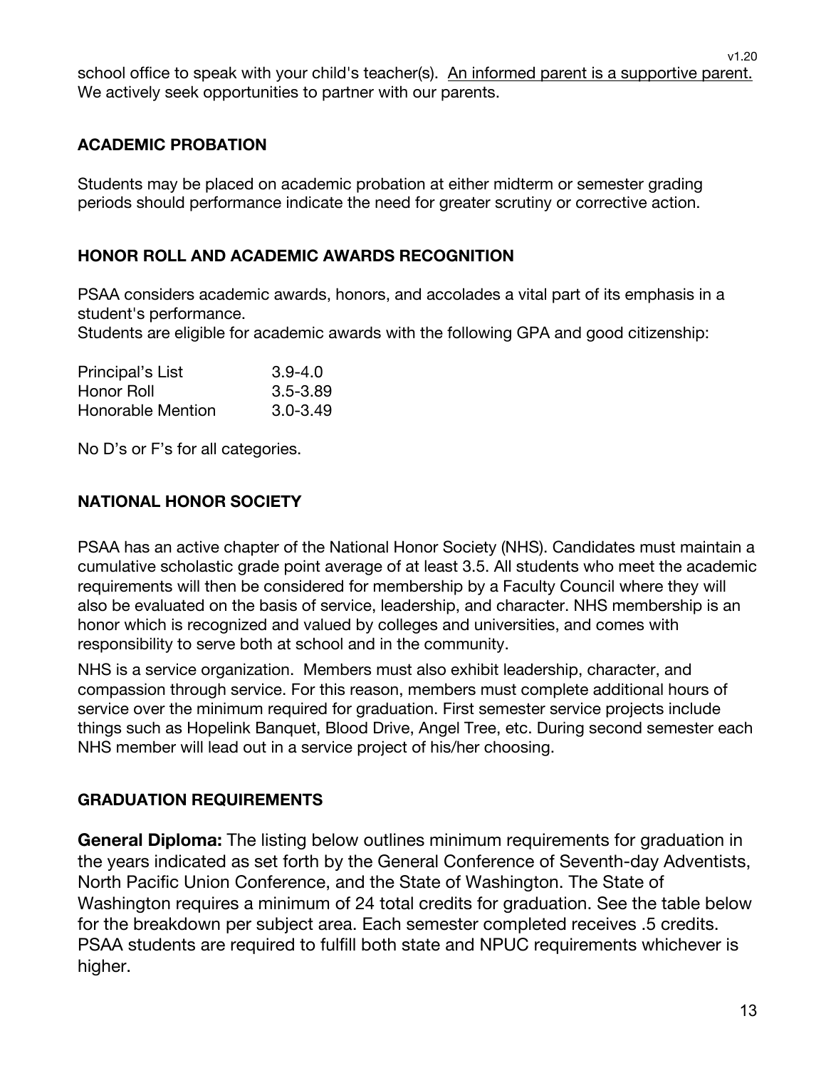school office to speak with your child's teacher(s). An informed parent is a supportive parent. We actively seek opportunities to partner with our parents.

## **ACADEMIC PROBATION**

Students may be placed on academic probation at either midterm or semester grading periods should performance indicate the need for greater scrutiny or corrective action.

## **HONOR ROLL AND ACADEMIC AWARDS RECOGNITION**

PSAA considers academic awards, honors, and accolades a vital part of its emphasis in a student's performance.

Students are eligible for academic awards with the following GPA and good citizenship:

| Principal's List  | $3.9 - 4.0$  |
|-------------------|--------------|
| Honor Roll        | $3.5 - 3.89$ |
| Honorable Mention | $3.0 - 3.49$ |

No D's or F's for all categories.

## **NATIONAL HONOR SOCIETY**

PSAA has an active chapter of the National Honor Society (NHS). Candidates must maintain a cumulative scholastic grade point average of at least 3.5. All students who meet the academic requirements will then be considered for membership by a Faculty Council where they will also be evaluated on the basis of service, leadership, and character. NHS membership is an honor which is recognized and valued by colleges and universities, and comes with responsibility to serve both at school and in the community.

NHS is a service organization. Members must also exhibit leadership, character, and compassion through service. For this reason, members must complete additional hours of service over the minimum required for graduation. First semester service projects include things such as Hopelink Banquet, Blood Drive, Angel Tree, etc. During second semester each NHS member will lead out in a service project of his/her choosing.

#### **GRADUATION REQUIREMENTS**

**General Diploma:** The listing below outlines minimum requirements for graduation in the years indicated as set forth by the General Conference of Seventh-day Adventists, North Pacific Union Conference, and the State of Washington. The State of Washington requires a minimum of 24 total credits for graduation. See the table below for the breakdown per subject area. Each semester completed receives .5 credits. PSAA students are required to fulfill both state and NPUC requirements whichever is higher.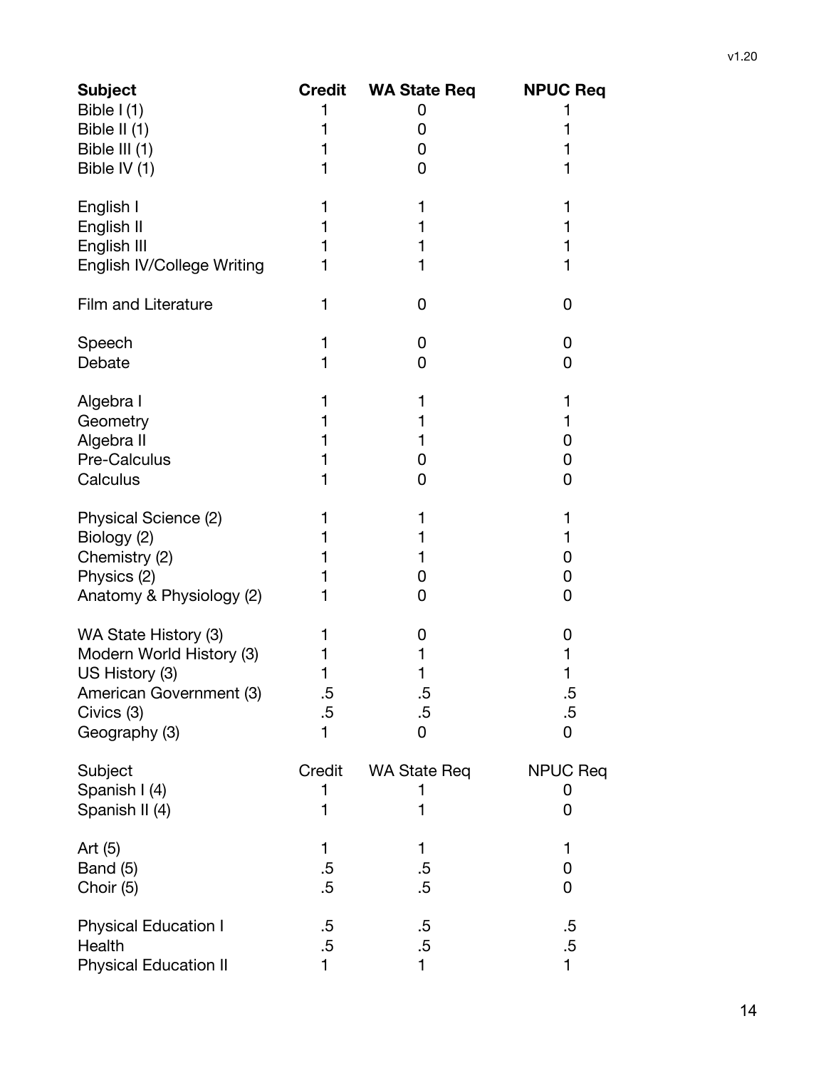| <b>Subject</b><br>Bible $I(1)$<br>Bible II (1)<br>Bible III (1)                                                              | <b>Credit</b>          | <b>WA State Req</b><br>0<br>0<br>0 | <b>NPUC Req</b><br>1             |
|------------------------------------------------------------------------------------------------------------------------------|------------------------|------------------------------------|----------------------------------|
| Bible IV (1)                                                                                                                 |                        | 0                                  | 1                                |
| English I<br>English II<br>English III<br>English IV/College Writing                                                         | 1<br>1                 | 1<br>1<br>1<br>1                   | 1<br>1<br>1<br>1                 |
| <b>Film and Literature</b>                                                                                                   | 1                      | 0                                  | 0                                |
| Speech<br>Debate                                                                                                             | 1                      | 0<br>0                             | 0<br>0                           |
| Algebra I<br>Geometry<br>Algebra II<br>Pre-Calculus<br>Calculus                                                              | 1                      | 1<br>1<br>1<br>0<br>0              | 1<br>1<br>0<br>0<br>0            |
| Physical Science (2)<br>Biology (2)<br>Chemistry (2)<br>Physics (2)<br>Anatomy & Physiology (2)                              | 1<br>1                 | 1<br>1<br>1<br>0<br>0              | 1<br>1<br>0<br>0<br>0            |
| WA State History (3)<br>Modern World History (3)<br>US History (3)<br>American Government (3)<br>Civics (3)<br>Geography (3) | 1<br>.5<br>$.5\,$<br>1 | 0<br>1<br>1<br>.5<br>$.5\,$<br>0   | 0<br>1<br>1<br>.5<br>$.5\,$<br>0 |
| Subject<br>Spanish I (4)<br>Spanish II (4)                                                                                   | Credit<br>1<br>1       | <b>WA State Req</b><br>1<br>1      | <b>NPUC Req</b><br>0<br>0        |
| Art $(5)$<br>Band (5)<br>Choir (5)                                                                                           | 1<br>$.5\,$<br>$.5\,$  | 1<br>$.5\,$<br>.5                  | 1<br>0<br>0                      |
| <b>Physical Education I</b><br>Health<br><b>Physical Education II</b>                                                        | .5<br>$.5\,$           | .5<br>$.5\,$<br>1                  | .5<br>$.5\,$<br>1                |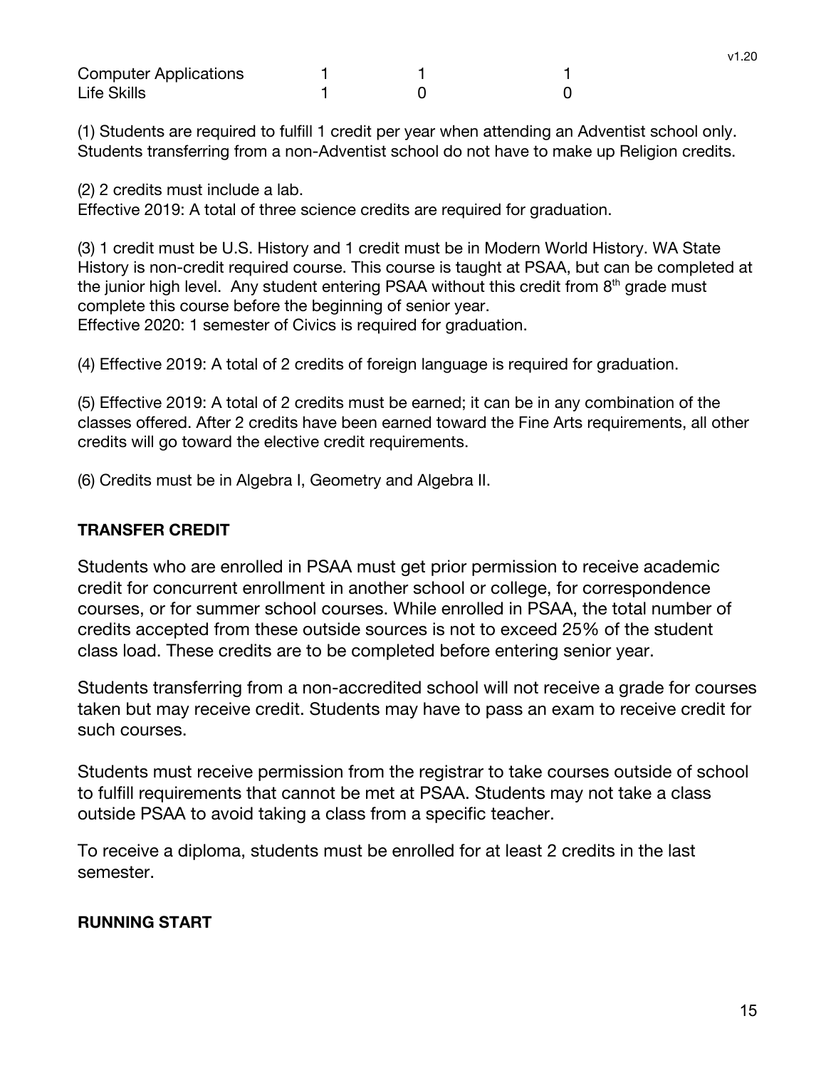| <b>Computer Applications</b> |  |  |
|------------------------------|--|--|
| Life Skills                  |  |  |

(1) Students are required to fulfill 1 credit per year when attending an Adventist school only. Students transferring from a non-Adventist school do not have to make up Religion credits.

(2) 2 credits must include a lab.

Effective 2019: A total of three science credits are required for graduation.

(3) 1 credit must be U.S. History and 1 credit must be in Modern World History. WA State History is non-credit required course. This course is taught at PSAA, but can be completed at the junior high level. Any student entering PSAA without this credit from  $8<sup>th</sup>$  grade must complete this course before the beginning of senior year. Effective 2020: 1 semester of Civics is required for graduation.

(4) Effective 2019: A total of 2 credits of foreign language is required for graduation.

(5) Effective 2019: A total of 2 credits must be earned; it can be in any combination of the classes offered. After 2 credits have been earned toward the Fine Arts requirements, all other credits will go toward the elective credit requirements.

(6) Credits must be in Algebra I, Geometry and Algebra II.

#### **TRANSFER CREDIT**

Students who are enrolled in PSAA must get prior permission to receive academic credit for concurrent enrollment in another school or college, for correspondence courses, or for summer school courses. While enrolled in PSAA, the total number of credits accepted from these outside sources is not to exceed 25% of the student class load. These credits are to be completed before entering senior year.

Students transferring from a non-accredited school will not receive a grade for courses taken but may receive credit. Students may have to pass an exam to receive credit for such courses.

Students must receive permission from the registrar to take courses outside of school to fulfill requirements that cannot be met at PSAA. Students may not take a class outside PSAA to avoid taking a class from a specific teacher.

To receive a diploma, students must be enrolled for at least 2 credits in the last semester.

#### **RUNNING START**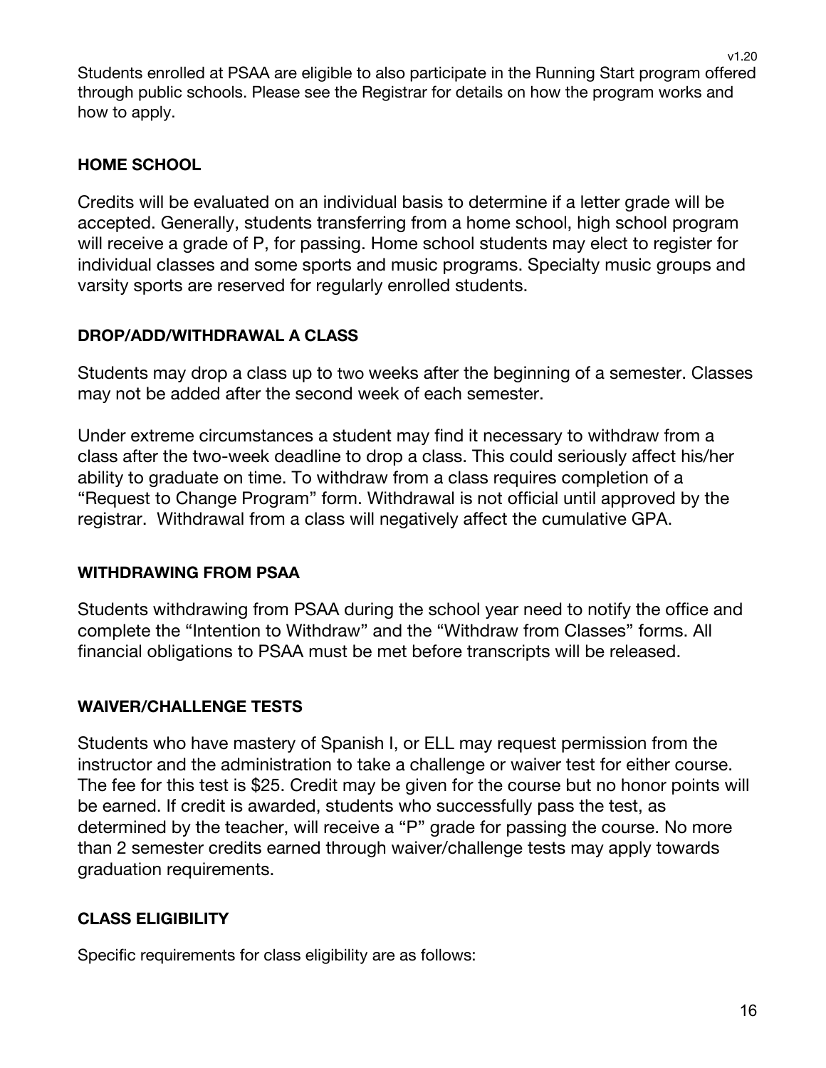Students enrolled at PSAA are eligible to also participate in the Running Start program offered through public schools. Please see the Registrar for details on how the program works and how to apply.

## **HOME SCHOOL**

Credits will be evaluated on an individual basis to determine if a letter grade will be accepted. Generally, students transferring from a home school, high school program will receive a grade of P, for passing. Home school students may elect to register for individual classes and some sports and music programs. Specialty music groups and varsity sports are reserved for regularly enrolled students.

## **DROP/ADD/WITHDRAWAL A CLASS**

Students may drop a class up to two weeks after the beginning of a semester. Classes may not be added after the second week of each semester.

Under extreme circumstances a student may find it necessary to withdraw from a class after the two-week deadline to drop a class. This could seriously affect his/her ability to graduate on time. To withdraw from a class requires completion of a "Request to Change Program" form. Withdrawal is not official until approved by the registrar. Withdrawal from a class will negatively affect the cumulative GPA.

## **WITHDRAWING FROM PSAA**

Students withdrawing from PSAA during the school year need to notify the office and complete the "Intention to Withdraw" and the "Withdraw from Classes" forms. All financial obligations to PSAA must be met before transcripts will be released.

## **WAIVER/CHALLENGE TESTS**

Students who have mastery of Spanish I, or ELL may request permission from the instructor and the administration to take a challenge or waiver test for either course. The fee for this test is \$25. Credit may be given for the course but no honor points will be earned. If credit is awarded, students who successfully pass the test, as determined by the teacher, will receive a "P" grade for passing the course. No more than 2 semester credits earned through waiver/challenge tests may apply towards graduation requirements.

## **CLASS ELIGIBILITY**

Specific requirements for class eligibility are as follows:

v1.20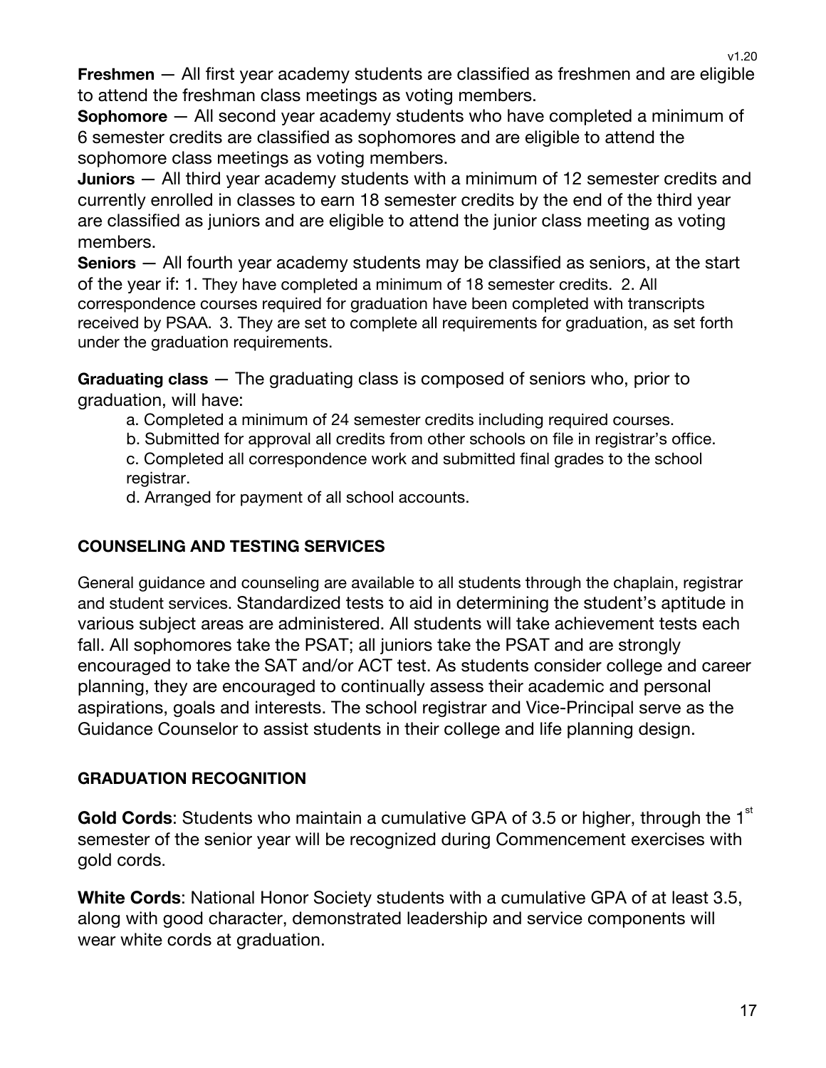**Freshmen** — All first year academy students are classified as freshmen and are eligible to attend the freshman class meetings as voting members.

**Sophomore** — All second year academy students who have completed a minimum of 6 semester credits are classified as sophomores and are eligible to attend the sophomore class meetings as voting members.

**Juniors** — All third year academy students with a minimum of 12 semester credits and currently enrolled in classes to earn 18 semester credits by the end of the third year are classified as juniors and are eligible to attend the junior class meeting as voting members.

**Seniors** — All fourth year academy students may be classified as seniors, at the start of the year if: 1. They have completed a minimum of 18 semester credits. 2. All correspondence courses required for graduation have been completed with transcripts received by PSAA. 3. They are set to complete all requirements for graduation, as set forth under the graduation requirements.

**Graduating class** — The graduating class is composed of seniors who, prior to graduation, will have:

a. Completed a minimum of 24 semester credits including required courses.

b. Submitted for approval all credits from other schools on file in registrar's office.

c. Completed all correspondence work and submitted final grades to the school registrar.

d. Arranged for payment of all school accounts.

## **COUNSELING AND TESTING SERVICES**

General guidance and counseling are available to all students through the chaplain, registrar and student services. Standardized tests to aid in determining the student's aptitude in various subject areas are administered. All students will take achievement tests each fall. All sophomores take the PSAT; all juniors take the PSAT and are strongly encouraged to take the SAT and/or ACT test. As students consider college and career planning, they are encouraged to continually assess their academic and personal aspirations, goals and interests. The school registrar and Vice-Principal serve as the Guidance Counselor to assist students in their college and life planning design.

## **GRADUATION RECOGNITION**

Gold Cords: Students who maintain a cumulative GPA of 3.5 or higher, through the 1<sup>st</sup> semester of the senior year will be recognized during Commencement exercises with gold cords.

**White Cords**: National Honor Society students with a cumulative GPA of at least 3.5, along with good character, demonstrated leadership and service components will wear white cords at graduation.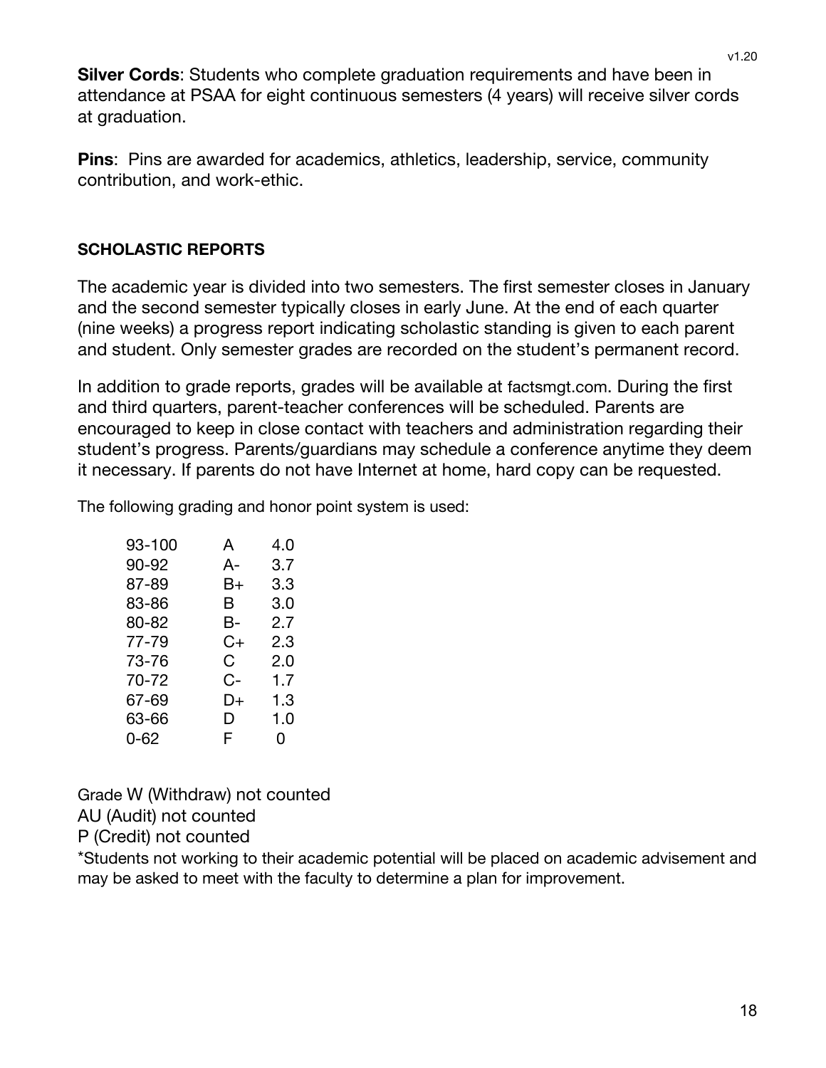**Silver Cords**: Students who complete graduation requirements and have been in attendance at PSAA for eight continuous semesters (4 years) will receive silver cords at graduation.

**Pins**: Pins are awarded for academics, athletics, leadership, service, community contribution, and work-ethic.

## **SCHOLASTIC REPORTS**

The academic year is divided into two semesters. The first semester closes in January and the second semester typically closes in early June. At the end of each quarter (nine weeks) a progress report indicating scholastic standing is given to each parent and student. Only semester grades are recorded on the student's permanent record.

In addition to grade reports, grades will be available at factsmgt.com. During the first and third quarters, parent-teacher conferences will be scheduled. Parents are encouraged to keep in close contact with teachers and administration regarding their student's progress. Parents/guardians may schedule a conference anytime they deem it necessary. If parents do not have Internet at home, hard copy can be requested.

The following grading and honor point system is used:

| A  | 4.0 |
|----|-----|
| A- | 3.7 |
| B+ | 3.3 |
| В  | 3.0 |
| В- | 2.7 |
| C+ | 2.3 |
| C. | 2.0 |
| C- | 1.7 |
| D+ | 1.3 |
| D  | 1.0 |
| F  | 0   |
|    |     |

Grade W (Withdraw) not counted AU (Audit) not counted

P (Credit) not counted

\*Students not working to their academic potential will be placed on academic advisement and may be asked to meet with the faculty to determine a plan for improvement.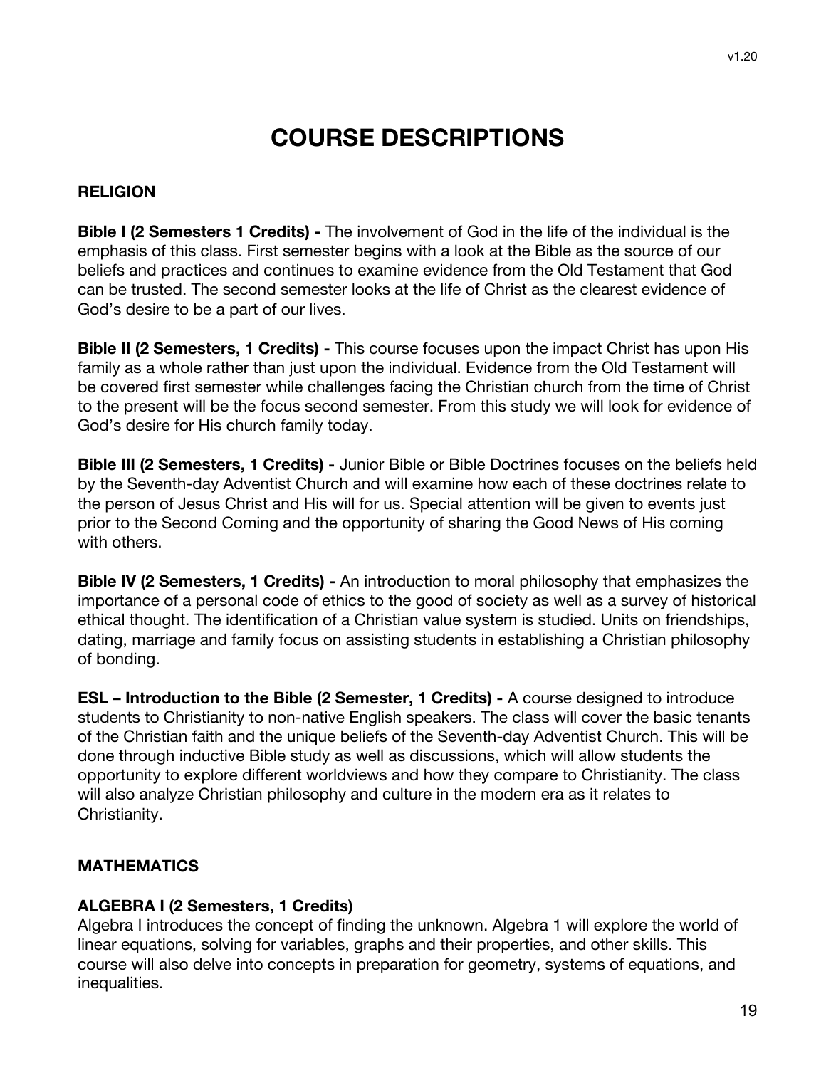## **COURSE DESCRIPTIONS**

#### **RELIGION**

**Bible I (2 Semesters 1 Credits) -** The involvement of God in the life of the individual is the emphasis of this class. First semester begins with a look at the Bible as the source of our beliefs and practices and continues to examine evidence from the Old Testament that God can be trusted. The second semester looks at the life of Christ as the clearest evidence of God's desire to be a part of our lives.

**Bible II (2 Semesters, 1 Credits) -** This course focuses upon the impact Christ has upon His family as a whole rather than just upon the individual. Evidence from the Old Testament will be covered first semester while challenges facing the Christian church from the time of Christ to the present will be the focus second semester. From this study we will look for evidence of God's desire for His church family today.

**Bible III (2 Semesters, 1 Credits) -** Junior Bible or Bible Doctrines focuses on the beliefs held by the Seventh-day Adventist Church and will examine how each of these doctrines relate to the person of Jesus Christ and His will for us. Special attention will be given to events just prior to the Second Coming and the opportunity of sharing the Good News of His coming with others.

**Bible IV (2 Semesters, 1 Credits) -** An introduction to moral philosophy that emphasizes the importance of a personal code of ethics to the good of society as well as a survey of historical ethical thought. The identification of a Christian value system is studied. Units on friendships, dating, marriage and family focus on assisting students in establishing a Christian philosophy of bonding.

**ESL – Introduction to the Bible (2 Semester, 1 Credits) -** A course designed to introduce students to Christianity to non-native English speakers. The class will cover the basic tenants of the Christian faith and the unique beliefs of the Seventh-day Adventist Church. This will be done through inductive Bible study as well as discussions, which will allow students the opportunity to explore different worldviews and how they compare to Christianity. The class will also analyze Christian philosophy and culture in the modern era as it relates to Christianity.

#### **MATHEMATICS**

#### **ALGEBRA I (2 Semesters, 1 Credits)**

Algebra I introduces the concept of finding the unknown. Algebra 1 will explore the world of linear equations, solving for variables, graphs and their properties, and other skills. This course will also delve into concepts in preparation for geometry, systems of equations, and inequalities.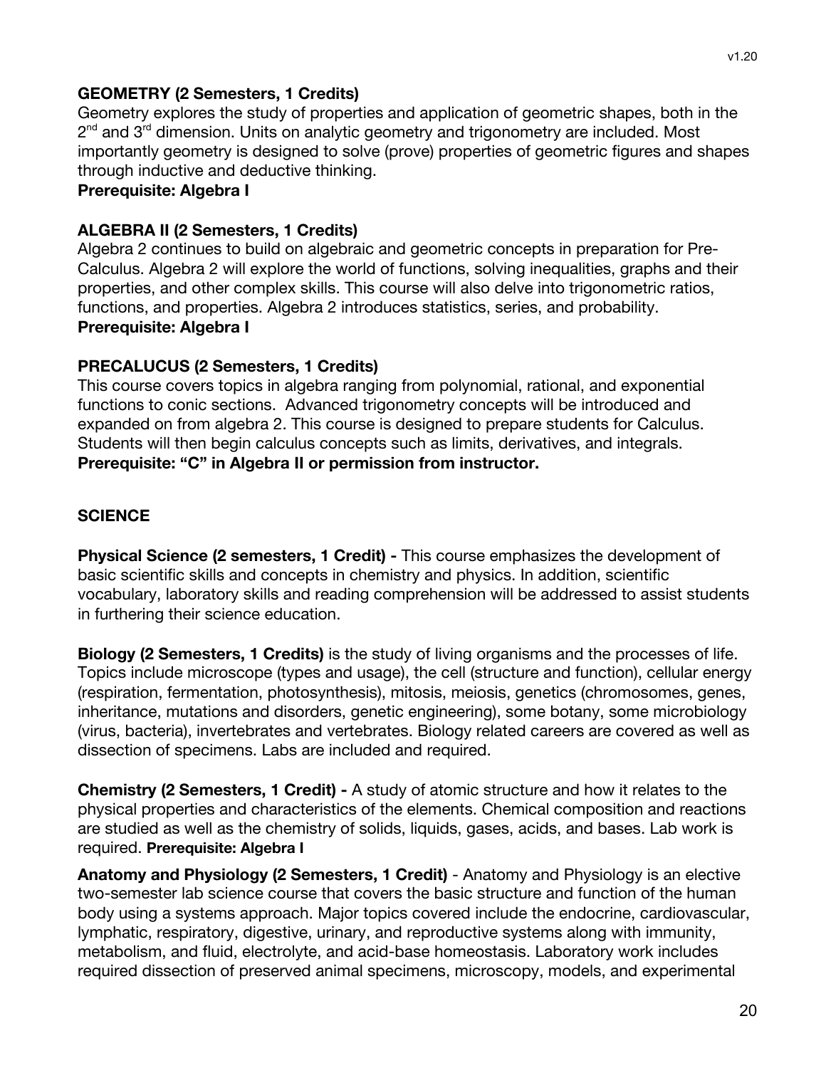#### **GEOMETRY (2 Semesters, 1 Credits)**

Geometry explores the study of properties and application of geometric shapes, both in the 2<sup>nd</sup> and 3<sup>rd</sup> dimension. Units on analytic geometry and trigonometry are included. Most importantly geometry is designed to solve (prove) properties of geometric figures and shapes through inductive and deductive thinking.

#### **Prerequisite: Algebra I**

#### **ALGEBRA II (2 Semesters, 1 Credits)**

Algebra 2 continues to build on algebraic and geometric concepts in preparation for Pre-Calculus. Algebra 2 will explore the world of functions, solving inequalities, graphs and their properties, and other complex skills. This course will also delve into trigonometric ratios, functions, and properties. Algebra 2 introduces statistics, series, and probability. **Prerequisite: Algebra I**

#### **PRECALUCUS (2 Semesters, 1 Credits)**

This course covers topics in algebra ranging from polynomial, rational, and exponential functions to conic sections. Advanced trigonometry concepts will be introduced and expanded on from algebra 2. This course is designed to prepare students for Calculus. Students will then begin calculus concepts such as limits, derivatives, and integrals. **Prerequisite: "C" in Algebra II or permission from instructor.**

#### **SCIENCE**

**Physical Science (2 semesters, 1 Credit) -** This course emphasizes the development of basic scientific skills and concepts in chemistry and physics. In addition, scientific vocabulary, laboratory skills and reading comprehension will be addressed to assist students in furthering their science education.

**Biology (2 Semesters, 1 Credits)** is the study of living organisms and the processes of life. Topics include microscope (types and usage), the cell (structure and function), cellular energy (respiration, fermentation, photosynthesis), mitosis, meiosis, genetics (chromosomes, genes, inheritance, mutations and disorders, genetic engineering), some botany, some microbiology (virus, bacteria), invertebrates and vertebrates. Biology related careers are covered as well as dissection of specimens. Labs are included and required.

**Chemistry (2 Semesters, 1 Credit) -** A study of atomic structure and how it relates to the physical properties and characteristics of the elements. Chemical composition and reactions are studied as well as the chemistry of solids, liquids, gases, acids, and bases. Lab work is required. **Prerequisite: Algebra I**

**Anatomy and Physiology (2 Semesters, 1 Credit)** - Anatomy and Physiology is an elective two-semester lab science course that covers the basic structure and function of the human body using a systems approach. Major topics covered include the endocrine, cardiovascular, lymphatic, respiratory, digestive, urinary, and reproductive systems along with immunity, metabolism, and fluid, electrolyte, and acid-base homeostasis. Laboratory work includes required dissection of preserved animal specimens, microscopy, models, and experimental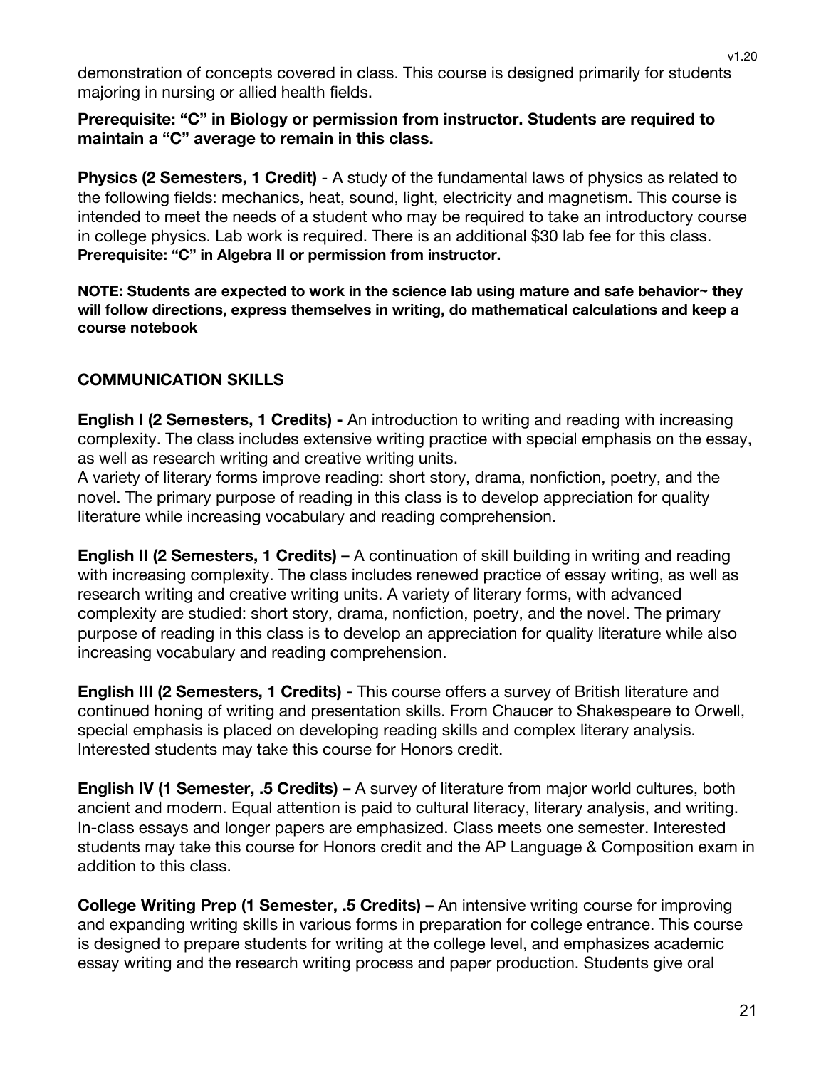demonstration of concepts covered in class. This course is designed primarily for students majoring in nursing or allied health fields.

#### **Prerequisite: "C" in Biology or permission from instructor. Students are required to maintain a "C" average to remain in this class.**

**Physics (2 Semesters, 1 Credit)** - A study of the fundamental laws of physics as related to the following fields: mechanics, heat, sound, light, electricity and magnetism. This course is intended to meet the needs of a student who may be required to take an introductory course in college physics. Lab work is required. There is an additional \$30 lab fee for this class. **Prerequisite: "C" in Algebra II or permission from instructor.**

**NOTE: Students are expected to work in the science lab using mature and safe behavior~ they will follow directions, express themselves in writing, do mathematical calculations and keep a course notebook**

#### **COMMUNICATION SKILLS**

**English I (2 Semesters, 1 Credits) -** An introduction to writing and reading with increasing complexity. The class includes extensive writing practice with special emphasis on the essay, as well as research writing and creative writing units.

A variety of literary forms improve reading: short story, drama, nonfiction, poetry, and the novel. The primary purpose of reading in this class is to develop appreciation for quality literature while increasing vocabulary and reading comprehension.

**English II (2 Semesters, 1 Credits) –** A continuation of skill building in writing and reading with increasing complexity. The class includes renewed practice of essay writing, as well as research writing and creative writing units. A variety of literary forms, with advanced complexity are studied: short story, drama, nonfiction, poetry, and the novel. The primary purpose of reading in this class is to develop an appreciation for quality literature while also increasing vocabulary and reading comprehension.

**English III (2 Semesters, 1 Credits) -** This course offers a survey of British literature and continued honing of writing and presentation skills. From Chaucer to Shakespeare to Orwell, special emphasis is placed on developing reading skills and complex literary analysis. Interested students may take this course for Honors credit.

**English IV (1 Semester, .5 Credits) –** A survey of literature from major world cultures, both ancient and modern. Equal attention is paid to cultural literacy, literary analysis, and writing. In-class essays and longer papers are emphasized. Class meets one semester. Interested students may take this course for Honors credit and the AP Language & Composition exam in addition to this class.

**College Writing Prep (1 Semester, .5 Credits) –** An intensive writing course for improving and expanding writing skills in various forms in preparation for college entrance. This course is designed to prepare students for writing at the college level, and emphasizes academic essay writing and the research writing process and paper production. Students give oral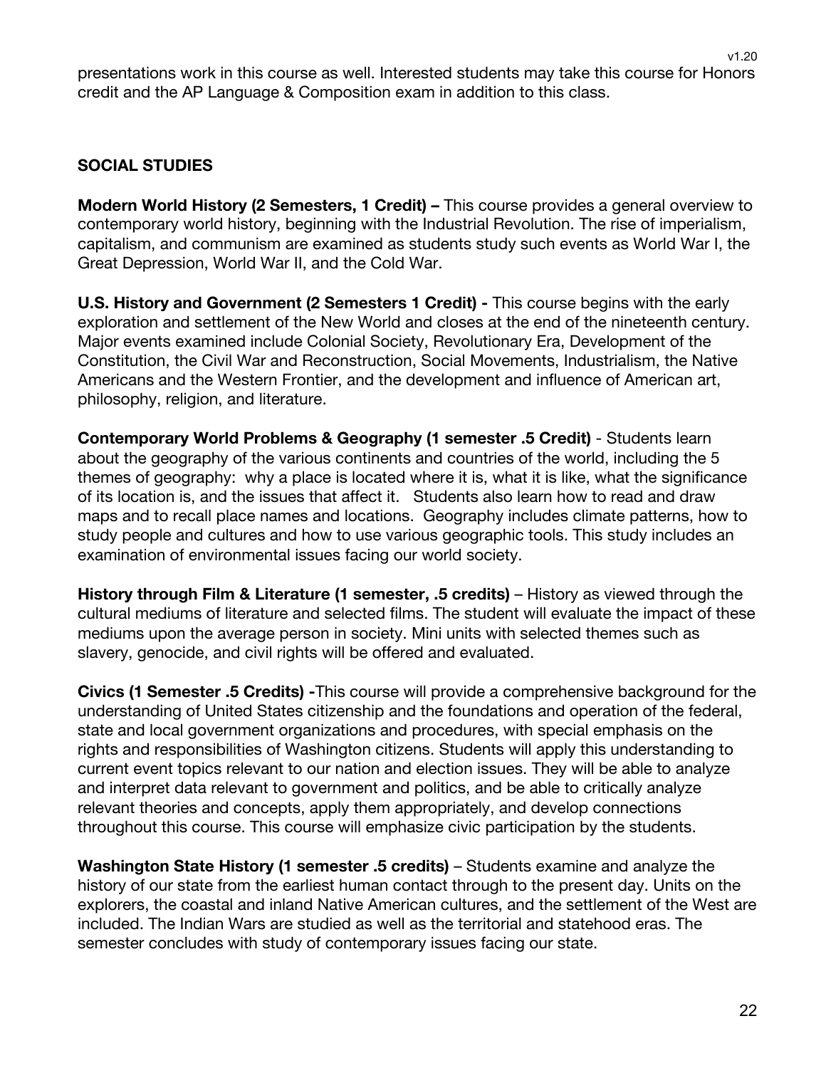presentations work in this course as well. Interested students may take this course for Honors credit and the AP Language & Composition exam in addition to this class.

#### **SOCIAL STUDIES**

**Modern World History (2 Semesters, 1 Credit) –** This course provides a general overview to contemporary world history, beginning with the Industrial Revolution. The rise of imperialism, capitalism, and communism are examined as students study such events as World War I, the Great Depression, World War II, and the Cold War.

**U.S. History and Government (2 Semesters 1 Credit) -** This course begins with the early exploration and settlement of the New World and closes at the end of the nineteenth century. Major events examined include Colonial Society, Revolutionary Era, Development of the Constitution, the Civil War and Reconstruction, Social Movements, Industrialism, the Native Americans and the Western Frontier, and the development and influence of American art, philosophy, religion, and literature.

**Contemporary World Problems & Geography (1 semester .5 Credit)** - Students learn about the geography of the various continents and countries of the world, including the 5 themes of geography: why a place is located where it is, what it is like, what the significance of its location is, and the issues that affect it. Students also learn how to read and draw maps and to recall place names and locations. Geography includes climate patterns, how to study people and cultures and how to use various geographic tools. This study includes an examination of environmental issues facing our world society.

**History through Film & Literature (1 semester, .5 credits)** – History as viewed through the cultural mediums of literature and selected films. The student will evaluate the impact of these mediums upon the average person in society. Mini units with selected themes such as slavery, genocide, and civil rights will be offered and evaluated.

**Civics (1 Semester .5 Credits) -**This course will provide a comprehensive background for the understanding of United States citizenship and the foundations and operation of the federal, state and local government organizations and procedures, with special emphasis on the rights and responsibilities of Washington citizens. Students will apply this understanding to current event topics relevant to our nation and election issues. They will be able to analyze and interpret data relevant to government and politics, and be able to critically analyze relevant theories and concepts, apply them appropriately, and develop connections throughout this course. This course will emphasize civic participation by the students.

**Washington State History (1 semester .5 credits)** – Students examine and analyze the history of our state from the earliest human contact through to the present day. Units on the explorers, the coastal and inland Native American cultures, and the settlement of the West are included. The Indian Wars are studied as well as the territorial and statehood eras. The semester concludes with study of contemporary issues facing our state.

v1.20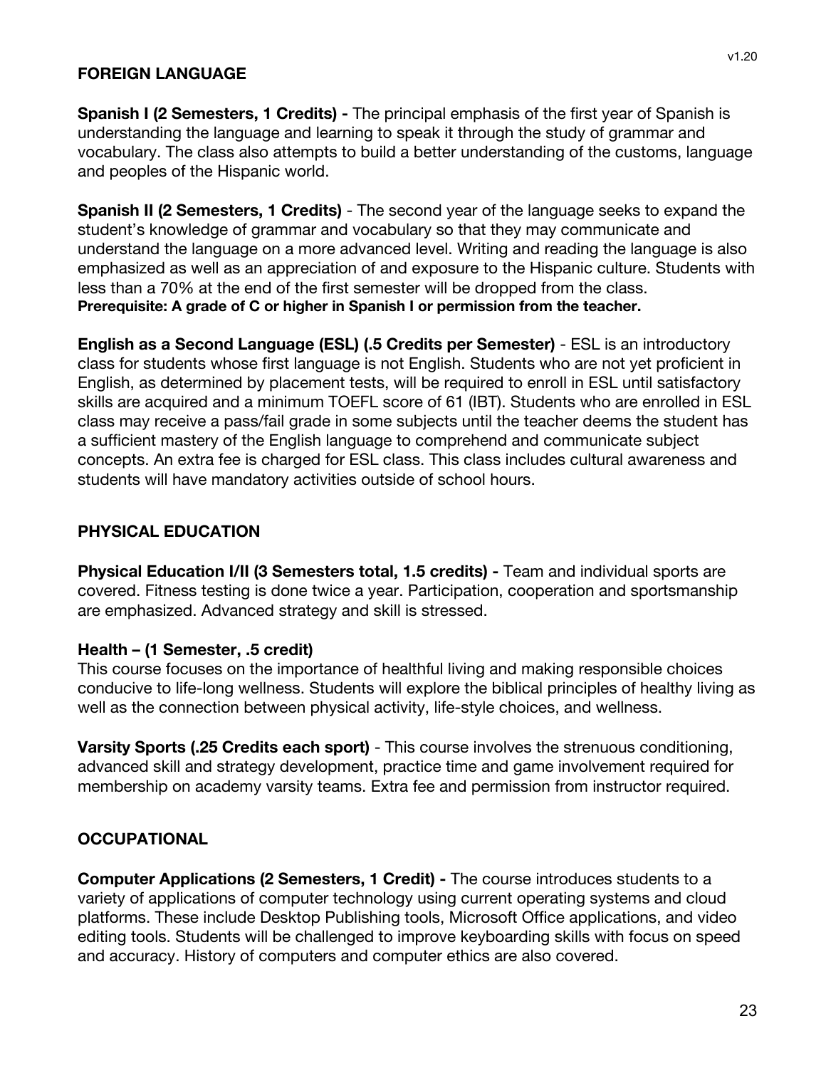#### **FOREIGN LANGUAGE**

**Spanish I (2 Semesters, 1 Credits) -** The principal emphasis of the first year of Spanish is understanding the language and learning to speak it through the study of grammar and vocabulary. The class also attempts to build a better understanding of the customs, language and peoples of the Hispanic world.

**Spanish II (2 Semesters, 1 Credits)** - The second year of the language seeks to expand the student's knowledge of grammar and vocabulary so that they may communicate and understand the language on a more advanced level. Writing and reading the language is also emphasized as well as an appreciation of and exposure to the Hispanic culture. Students with less than a 70% at the end of the first semester will be dropped from the class. **Prerequisite: A grade of C or higher in Spanish I or permission from the teacher.**

**English as a Second Language (ESL) (.5 Credits per Semester)** - ESL is an introductory class for students whose first language is not English. Students who are not yet proficient in English, as determined by placement tests, will be required to enroll in ESL until satisfactory skills are acquired and a minimum TOEFL score of 61 (IBT). Students who are enrolled in ESL class may receive a pass/fail grade in some subjects until the teacher deems the student has a sufficient mastery of the English language to comprehend and communicate subject concepts. An extra fee is charged for ESL class. This class includes cultural awareness and students will have mandatory activities outside of school hours.

#### **PHYSICAL EDUCATION**

**Physical Education I/II (3 Semesters total, 1.5 credits) -** Team and individual sports are covered. Fitness testing is done twice a year. Participation, cooperation and sportsmanship are emphasized. Advanced strategy and skill is stressed.

#### **Health – (1 Semester, .5 credit)**

This course focuses on the importance of healthful living and making responsible choices conducive to life-long wellness. Students will explore the biblical principles of healthy living as well as the connection between physical activity, life-style choices, and wellness.

**Varsity Sports (.25 Credits each sport)** - This course involves the strenuous conditioning, advanced skill and strategy development, practice time and game involvement required for membership on academy varsity teams. Extra fee and permission from instructor required.

#### **OCCUPATIONAL**

**Computer Applications (2 Semesters, 1 Credit) -** The course introduces students to a variety of applications of computer technology using current operating systems and cloud platforms. These include Desktop Publishing tools, Microsoft Office applications, and video editing tools. Students will be challenged to improve keyboarding skills with focus on speed and accuracy. History of computers and computer ethics are also covered.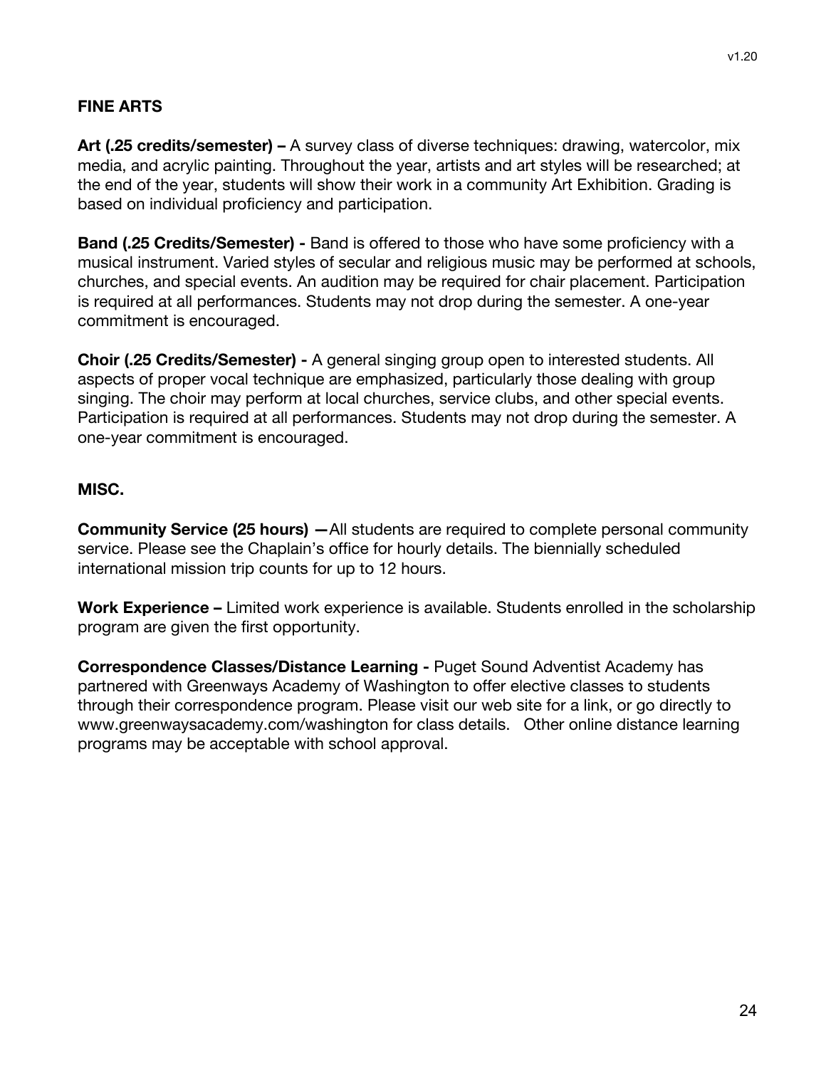## **FINE ARTS**

**Art (.25 credits/semester) –** A survey class of diverse techniques: drawing, watercolor, mix media, and acrylic painting. Throughout the year, artists and art styles will be researched; at the end of the year, students will show their work in a community Art Exhibition. Grading is based on individual proficiency and participation.

**Band (.25 Credits/Semester) -** Band is offered to those who have some proficiency with a musical instrument. Varied styles of secular and religious music may be performed at schools, churches, and special events. An audition may be required for chair placement. Participation is required at all performances. Students may not drop during the semester. A one-year commitment is encouraged.

**Choir (.25 Credits/Semester) -** A general singing group open to interested students. All aspects of proper vocal technique are emphasized, particularly those dealing with group singing. The choir may perform at local churches, service clubs, and other special events. Participation is required at all performances. Students may not drop during the semester. A one-year commitment is encouraged.

## **MISC.**

**Community Service (25 hours) —**All students are required to complete personal community service. Please see the Chaplain's office for hourly details. The biennially scheduled international mission trip counts for up to 12 hours.

**Work Experience –** Limited work experience is available. Students enrolled in the scholarship program are given the first opportunity.

**Correspondence Classes/Distance Learning -** Puget Sound Adventist Academy has partnered with Greenways Academy of Washington to offer elective classes to students through their correspondence program. Please visit our web site for a link, or go directly to www.greenwaysacademy.com/washington for class details. Other online distance learning programs may be acceptable with school approval.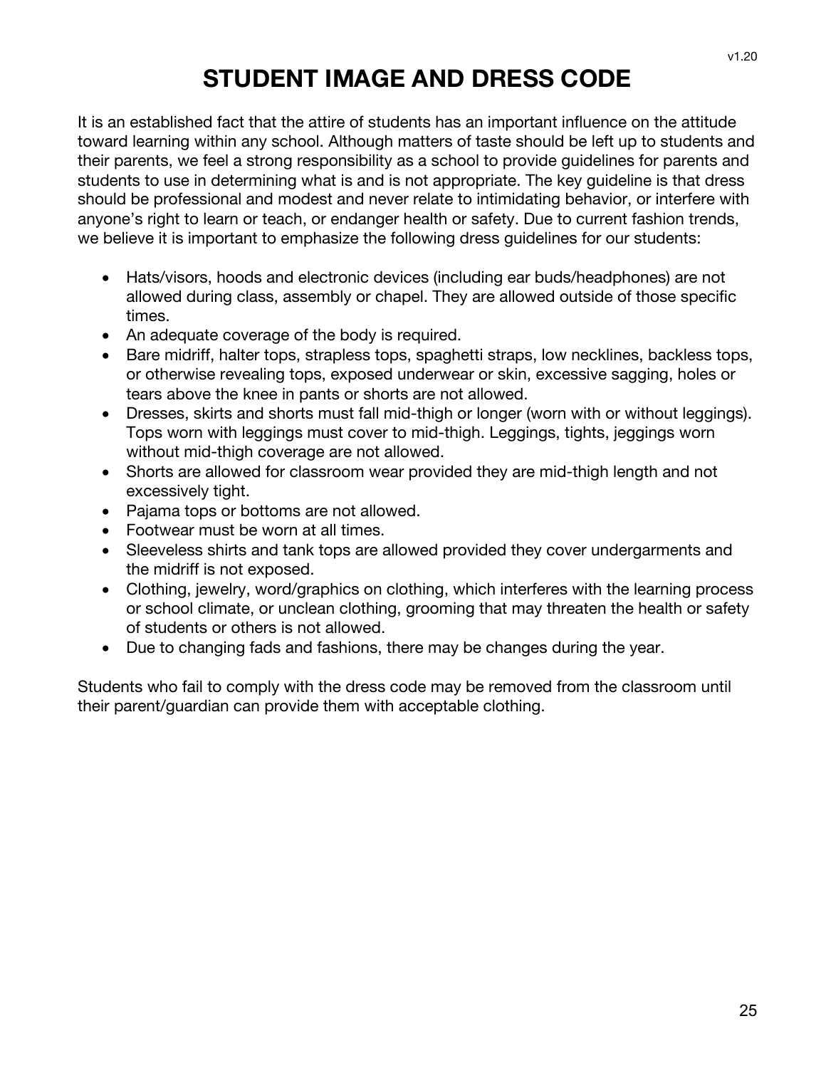## **STUDENT IMAGE AND DRESS CODE**

It is an established fact that the attire of students has an important influence on the attitude toward learning within any school. Although matters of taste should be left up to students and their parents, we feel a strong responsibility as a school to provide guidelines for parents and students to use in determining what is and is not appropriate. The key guideline is that dress should be professional and modest and never relate to intimidating behavior, or interfere with anyone's right to learn or teach, or endanger health or safety. Due to current fashion trends, we believe it is important to emphasize the following dress guidelines for our students:

- Hats/visors, hoods and electronic devices (including ear buds/headphones) are not allowed during class, assembly or chapel. They are allowed outside of those specific times.
- An adequate coverage of the body is required.
- Bare midriff, halter tops, strapless tops, spaghetti straps, low necklines, backless tops, or otherwise revealing tops, exposed underwear or skin, excessive sagging, holes or tears above the knee in pants or shorts are not allowed.
- Dresses, skirts and shorts must fall mid-thigh or longer (worn with or without leggings). Tops worn with leggings must cover to mid-thigh. Leggings, tights, jeggings worn without mid-thigh coverage are not allowed.
- Shorts are allowed for classroom wear provided they are mid-thigh length and not excessively tight.
- Pajama tops or bottoms are not allowed.
- Footwear must be worn at all times.
- Sleeveless shirts and tank tops are allowed provided they cover undergarments and the midriff is not exposed.
- Clothing, jewelry, word/graphics on clothing, which interferes with the learning process or school climate, or unclean clothing, grooming that may threaten the health or safety of students or others is not allowed.
- Due to changing fads and fashions, there may be changes during the year.

Students who fail to comply with the dress code may be removed from the classroom until their parent/guardian can provide them with acceptable clothing.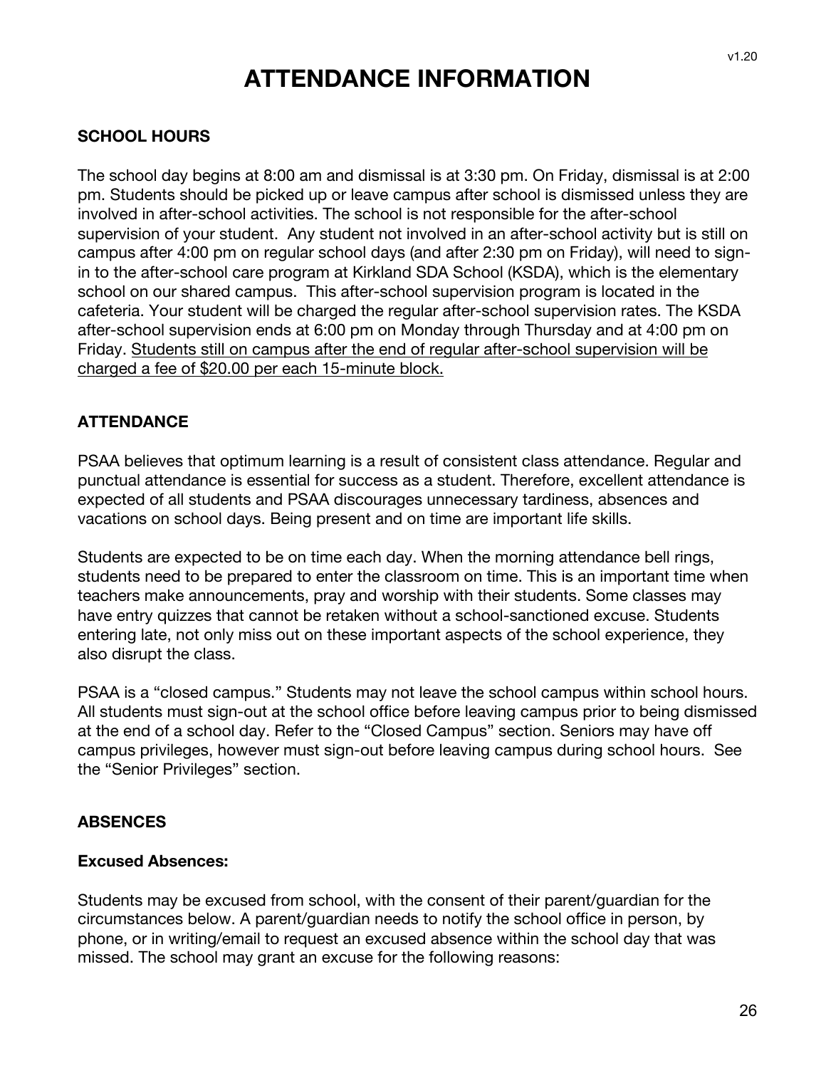## **ATTENDANCE INFORMATION**

#### **SCHOOL HOURS**

The school day begins at 8:00 am and dismissal is at 3:30 pm. On Friday, dismissal is at 2:00 pm. Students should be picked up or leave campus after school is dismissed unless they are involved in after-school activities. The school is not responsible for the after-school supervision of your student. Any student not involved in an after-school activity but is still on campus after 4:00 pm on regular school days (and after 2:30 pm on Friday), will need to signin to the after-school care program at Kirkland SDA School (KSDA), which is the elementary school on our shared campus. This after-school supervision program is located in the cafeteria. Your student will be charged the regular after-school supervision rates. The KSDA after-school supervision ends at 6:00 pm on Monday through Thursday and at 4:00 pm on Friday. Students still on campus after the end of regular after-school supervision will be charged a fee of \$20.00 per each 15-minute block.

#### **ATTENDANCE**

PSAA believes that optimum learning is a result of consistent class attendance. Regular and punctual attendance is essential for success as a student. Therefore, excellent attendance is expected of all students and PSAA discourages unnecessary tardiness, absences and vacations on school days. Being present and on time are important life skills.

Students are expected to be on time each day. When the morning attendance bell rings, students need to be prepared to enter the classroom on time. This is an important time when teachers make announcements, pray and worship with their students. Some classes may have entry quizzes that cannot be retaken without a school-sanctioned excuse. Students entering late, not only miss out on these important aspects of the school experience, they also disrupt the class.

PSAA is a "closed campus." Students may not leave the school campus within school hours. All students must sign-out at the school office before leaving campus prior to being dismissed at the end of a school day. Refer to the "Closed Campus" section. Seniors may have off campus privileges, however must sign-out before leaving campus during school hours. See the "Senior Privileges" section.

#### **ABSENCES**

#### **Excused Absences:**

Students may be excused from school, with the consent of their parent/guardian for the circumstances below. A parent/guardian needs to notify the school office in person, by phone, or in writing/email to request an excused absence within the school day that was missed. The school may grant an excuse for the following reasons: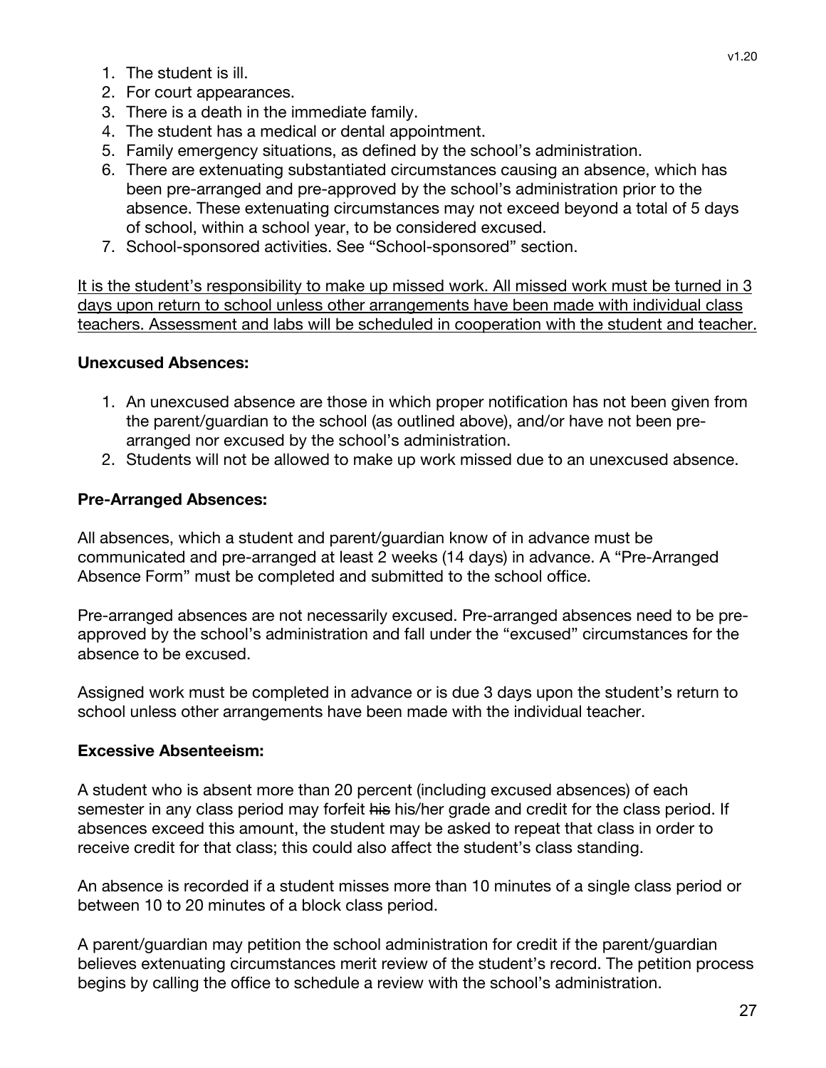- 1. The student is ill.
- 2. For court appearances.
- 3. There is a death in the immediate family.
- 4. The student has a medical or dental appointment.
- 5. Family emergency situations, as defined by the school's administration.
- 6. There are extenuating substantiated circumstances causing an absence, which has been pre-arranged and pre-approved by the school's administration prior to the absence. These extenuating circumstances may not exceed beyond a total of 5 days of school, within a school year, to be considered excused.
- 7. School-sponsored activities. See "School-sponsored" section.

It is the student's responsibility to make up missed work. All missed work must be turned in 3 days upon return to school unless other arrangements have been made with individual class teachers. Assessment and labs will be scheduled in cooperation with the student and teacher.

#### **Unexcused Absences:**

- 1. An unexcused absence are those in which proper notification has not been given from the parent/guardian to the school (as outlined above), and/or have not been prearranged nor excused by the school's administration.
- 2. Students will not be allowed to make up work missed due to an unexcused absence.

#### **Pre-Arranged Absences:**

All absences, which a student and parent/guardian know of in advance must be communicated and pre-arranged at least 2 weeks (14 days) in advance. A "Pre-Arranged Absence Form" must be completed and submitted to the school office.

Pre-arranged absences are not necessarily excused. Pre-arranged absences need to be preapproved by the school's administration and fall under the "excused" circumstances for the absence to be excused.

Assigned work must be completed in advance or is due 3 days upon the student's return to school unless other arrangements have been made with the individual teacher.

#### **Excessive Absenteeism:**

A student who is absent more than 20 percent (including excused absences) of each semester in any class period may forfeit his his/her grade and credit for the class period. If absences exceed this amount, the student may be asked to repeat that class in order to receive credit for that class; this could also affect the student's class standing.

An absence is recorded if a student misses more than 10 minutes of a single class period or between 10 to 20 minutes of a block class period.

A parent/guardian may petition the school administration for credit if the parent/guardian believes extenuating circumstances merit review of the student's record. The petition process begins by calling the office to schedule a review with the school's administration.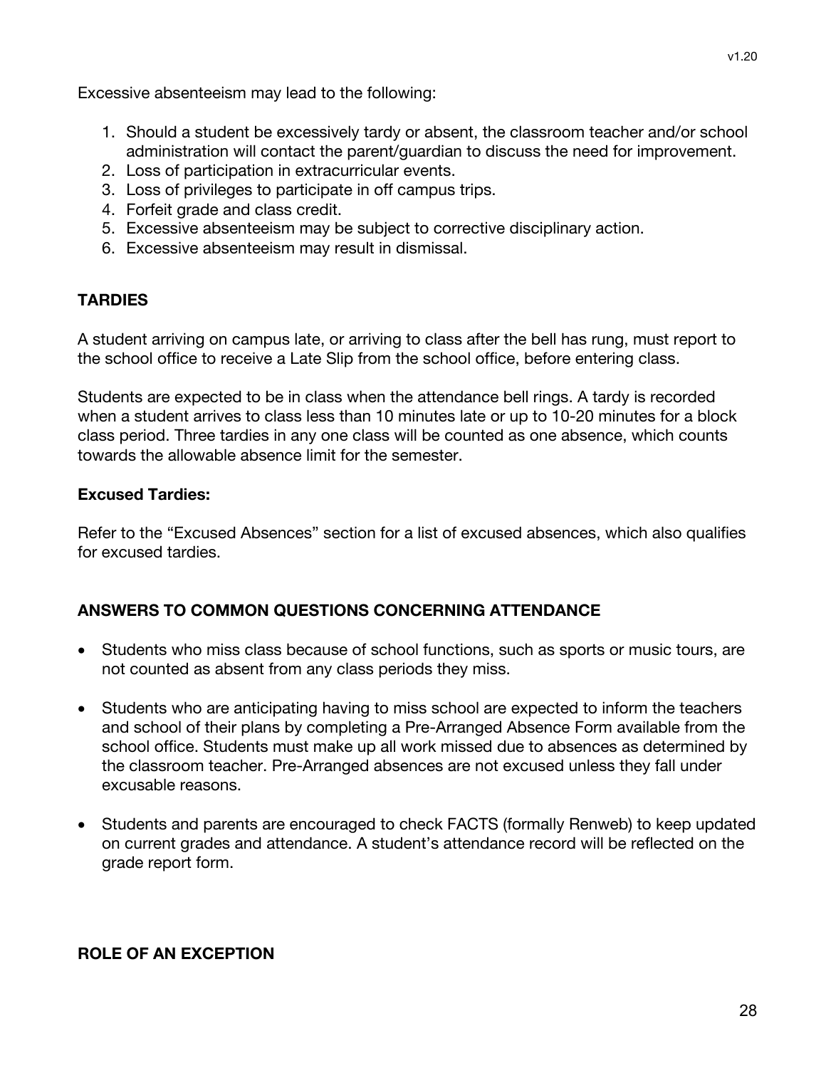Excessive absenteeism may lead to the following:

- 1. Should a student be excessively tardy or absent, the classroom teacher and/or school administration will contact the parent/guardian to discuss the need for improvement.
- 2. Loss of participation in extracurricular events.
- 3. Loss of privileges to participate in off campus trips.
- 4. Forfeit grade and class credit.
- 5. Excessive absenteeism may be subject to corrective disciplinary action.
- 6. Excessive absenteeism may result in dismissal.

## **TARDIES**

A student arriving on campus late, or arriving to class after the bell has rung, must report to the school office to receive a Late Slip from the school office, before entering class.

Students are expected to be in class when the attendance bell rings. A tardy is recorded when a student arrives to class less than 10 minutes late or up to 10-20 minutes for a block class period. Three tardies in any one class will be counted as one absence, which counts towards the allowable absence limit for the semester.

## **Excused Tardies:**

Refer to the "Excused Absences" section for a list of excused absences, which also qualifies for excused tardies.

## **ANSWERS TO COMMON QUESTIONS CONCERNING ATTENDANCE**

- Students who miss class because of school functions, such as sports or music tours, are not counted as absent from any class periods they miss.
- Students who are anticipating having to miss school are expected to inform the teachers and school of their plans by completing a Pre-Arranged Absence Form available from the school office. Students must make up all work missed due to absences as determined by the classroom teacher. Pre-Arranged absences are not excused unless they fall under excusable reasons.
- Students and parents are encouraged to check FACTS (formally Renweb) to keep updated on current grades and attendance. A student's attendance record will be reflected on the grade report form.

## **ROLE OF AN EXCEPTION**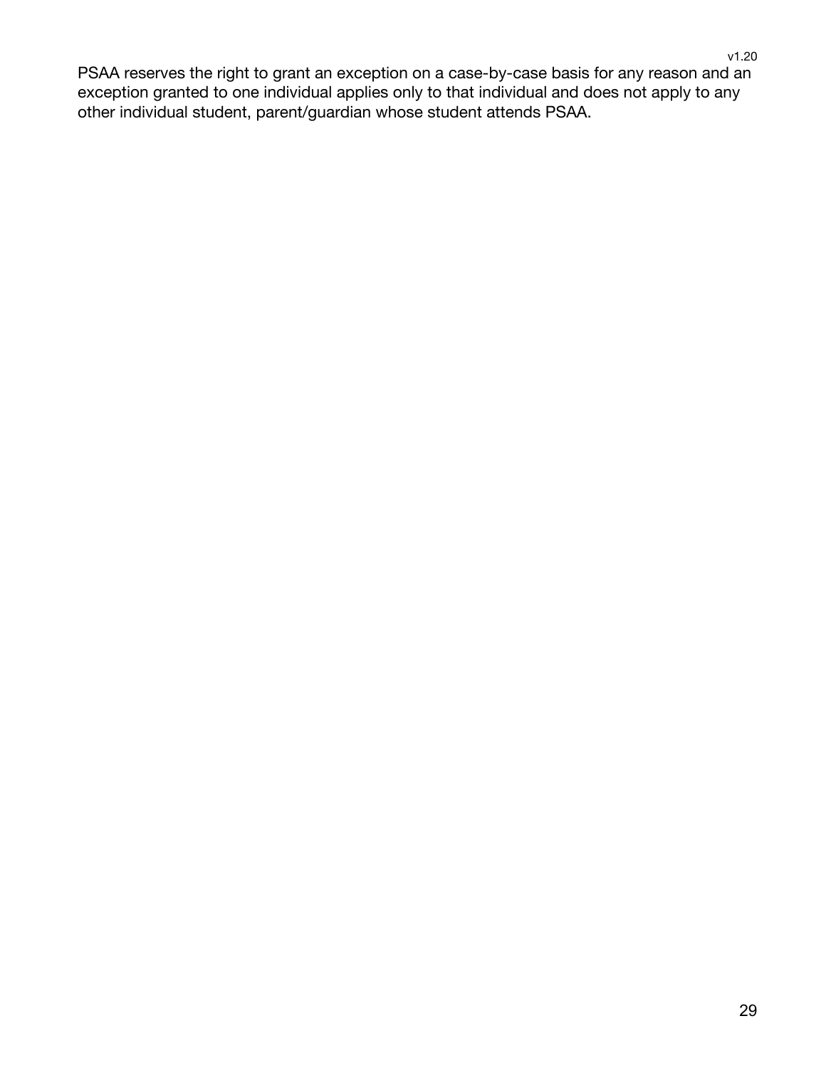PSAA reserves the right to grant an exception on a case-by-case basis for any reason and an exception granted to one individual applies only to that individual and does not apply to any other individual student, parent/guardian whose student attends PSAA.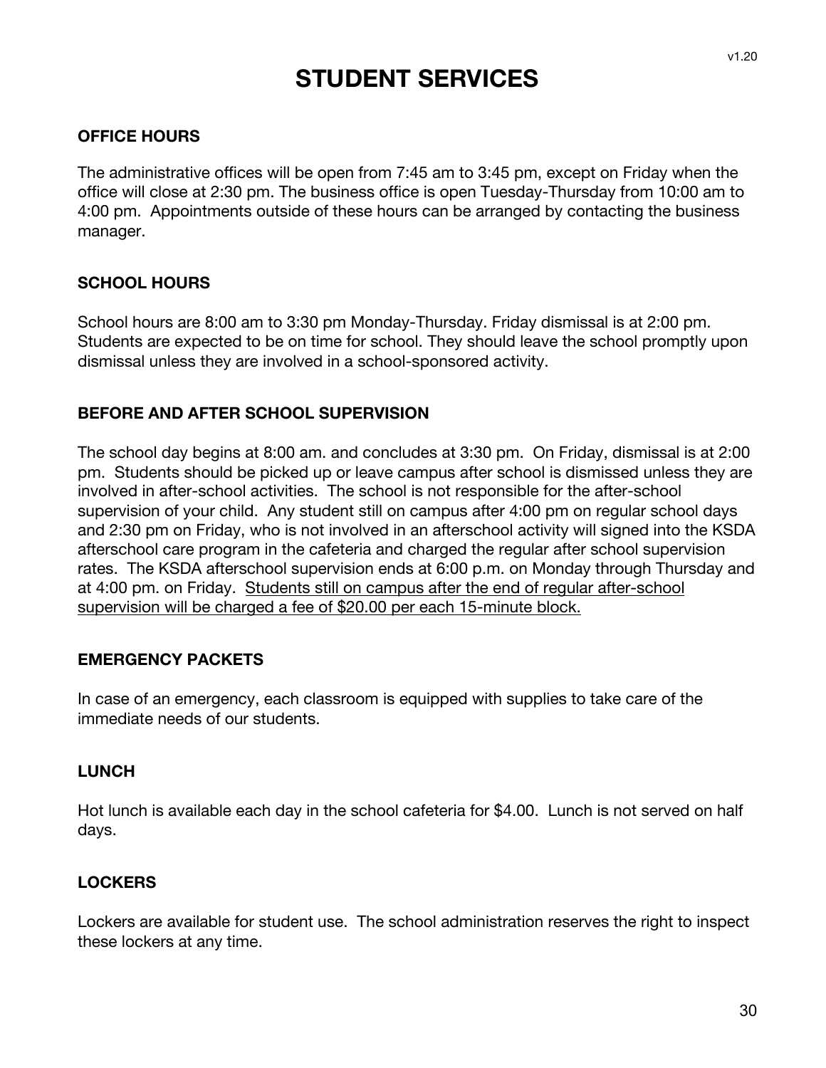## **STUDENT SERVICES**

#### **OFFICE HOURS**

The administrative offices will be open from 7:45 am to 3:45 pm, except on Friday when the office will close at 2:30 pm. The business office is open Tuesday-Thursday from 10:00 am to 4:00 pm. Appointments outside of these hours can be arranged by contacting the business manager.

#### **SCHOOL HOURS**

School hours are 8:00 am to 3:30 pm Monday-Thursday. Friday dismissal is at 2:00 pm. Students are expected to be on time for school. They should leave the school promptly upon dismissal unless they are involved in a school-sponsored activity.

#### **BEFORE AND AFTER SCHOOL SUPERVISION**

The school day begins at 8:00 am. and concludes at 3:30 pm. On Friday, dismissal is at 2:00 pm. Students should be picked up or leave campus after school is dismissed unless they are involved in after-school activities. The school is not responsible for the after-school supervision of your child. Any student still on campus after 4:00 pm on regular school days and 2:30 pm on Friday, who is not involved in an afterschool activity will signed into the KSDA afterschool care program in the cafeteria and charged the regular after school supervision rates. The KSDA afterschool supervision ends at 6:00 p.m. on Monday through Thursday and at 4:00 pm. on Friday. Students still on campus after the end of regular after-school supervision will be charged a fee of \$20.00 per each 15-minute block.

#### **EMERGENCY PACKETS**

In case of an emergency, each classroom is equipped with supplies to take care of the immediate needs of our students.

#### **LUNCH**

Hot lunch is available each day in the school cafeteria for \$4.00. Lunch is not served on half days.

#### **LOCKERS**

Lockers are available for student use. The school administration reserves the right to inspect these lockers at any time.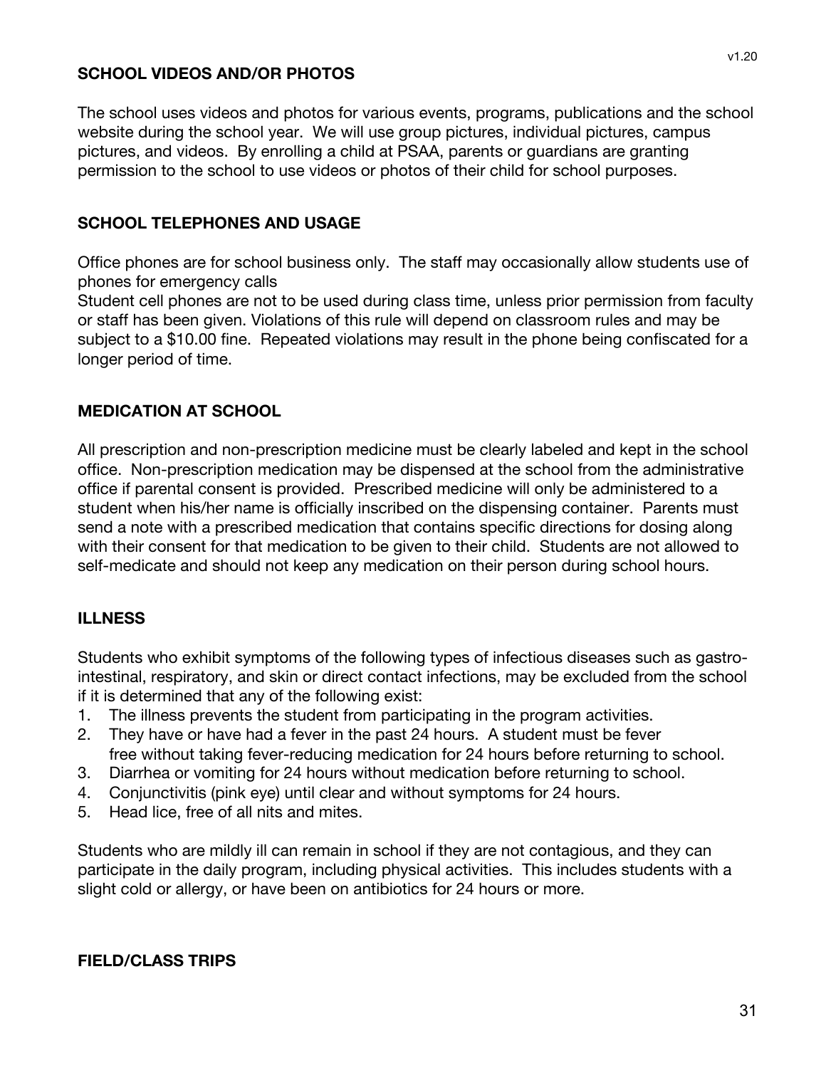#### **SCHOOL VIDEOS AND/OR PHOTOS**

The school uses videos and photos for various events, programs, publications and the school website during the school year. We will use group pictures, individual pictures, campus pictures, and videos. By enrolling a child at PSAA, parents or guardians are granting permission to the school to use videos or photos of their child for school purposes.

#### **SCHOOL TELEPHONES AND USAGE**

Office phones are for school business only. The staff may occasionally allow students use of phones for emergency calls

Student cell phones are not to be used during class time, unless prior permission from faculty or staff has been given. Violations of this rule will depend on classroom rules and may be subject to a \$10.00 fine. Repeated violations may result in the phone being confiscated for a longer period of time.

#### **MEDICATION AT SCHOOL**

All prescription and non-prescription medicine must be clearly labeled and kept in the school office. Non-prescription medication may be dispensed at the school from the administrative office if parental consent is provided. Prescribed medicine will only be administered to a student when his/her name is officially inscribed on the dispensing container. Parents must send a note with a prescribed medication that contains specific directions for dosing along with their consent for that medication to be given to their child. Students are not allowed to self-medicate and should not keep any medication on their person during school hours.

#### **ILLNESS**

Students who exhibit symptoms of the following types of infectious diseases such as gastrointestinal, respiratory, and skin or direct contact infections, may be excluded from the school if it is determined that any of the following exist:

- 1. The illness prevents the student from participating in the program activities.
- 2. They have or have had a fever in the past 24 hours. A student must be fever free without taking fever-reducing medication for 24 hours before returning to school.
- 3. Diarrhea or vomiting for 24 hours without medication before returning to school.
- 4. Conjunctivitis (pink eye) until clear and without symptoms for 24 hours.
- 5. Head lice, free of all nits and mites.

Students who are mildly ill can remain in school if they are not contagious, and they can participate in the daily program, including physical activities. This includes students with a slight cold or allergy, or have been on antibiotics for 24 hours or more.

#### **FIELD/CLASS TRIPS**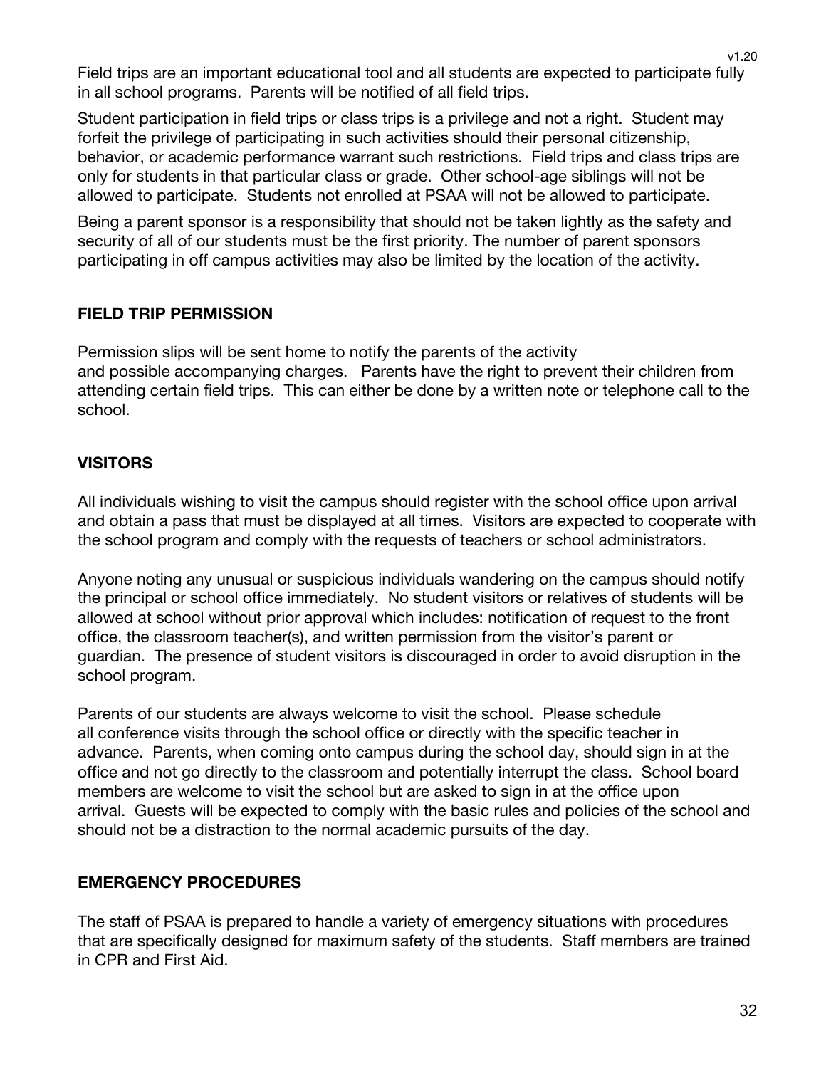Field trips are an important educational tool and all students are expected to participate fully in all school programs. Parents will be notified of all field trips.

Student participation in field trips or class trips is a privilege and not a right. Student may forfeit the privilege of participating in such activities should their personal citizenship, behavior, or academic performance warrant such restrictions. Field trips and class trips are only for students in that particular class or grade. Other school-age siblings will not be allowed to participate. Students not enrolled at PSAA will not be allowed to participate.

Being a parent sponsor is a responsibility that should not be taken lightly as the safety and security of all of our students must be the first priority. The number of parent sponsors participating in off campus activities may also be limited by the location of the activity.

## **FIELD TRIP PERMISSION**

Permission slips will be sent home to notify the parents of the activity and possible accompanying charges. Parents have the right to prevent their children from attending certain field trips. This can either be done by a written note or telephone call to the school.

## **VISITORS**

All individuals wishing to visit the campus should register with the school office upon arrival and obtain a pass that must be displayed at all times. Visitors are expected to cooperate with the school program and comply with the requests of teachers or school administrators.

Anyone noting any unusual or suspicious individuals wandering on the campus should notify the principal or school office immediately. No student visitors or relatives of students will be allowed at school without prior approval which includes: notification of request to the front office, the classroom teacher(s), and written permission from the visitor's parent or guardian. The presence of student visitors is discouraged in order to avoid disruption in the school program.

Parents of our students are always welcome to visit the school. Please schedule all conference visits through the school office or directly with the specific teacher in advance. Parents, when coming onto campus during the school day, should sign in at the office and not go directly to the classroom and potentially interrupt the class. School board members are welcome to visit the school but are asked to sign in at the office upon arrival. Guests will be expected to comply with the basic rules and policies of the school and should not be a distraction to the normal academic pursuits of the day.

## **EMERGENCY PROCEDURES**

The staff of PSAA is prepared to handle a variety of emergency situations with procedures that are specifically designed for maximum safety of the students. Staff members are trained in CPR and First Aid.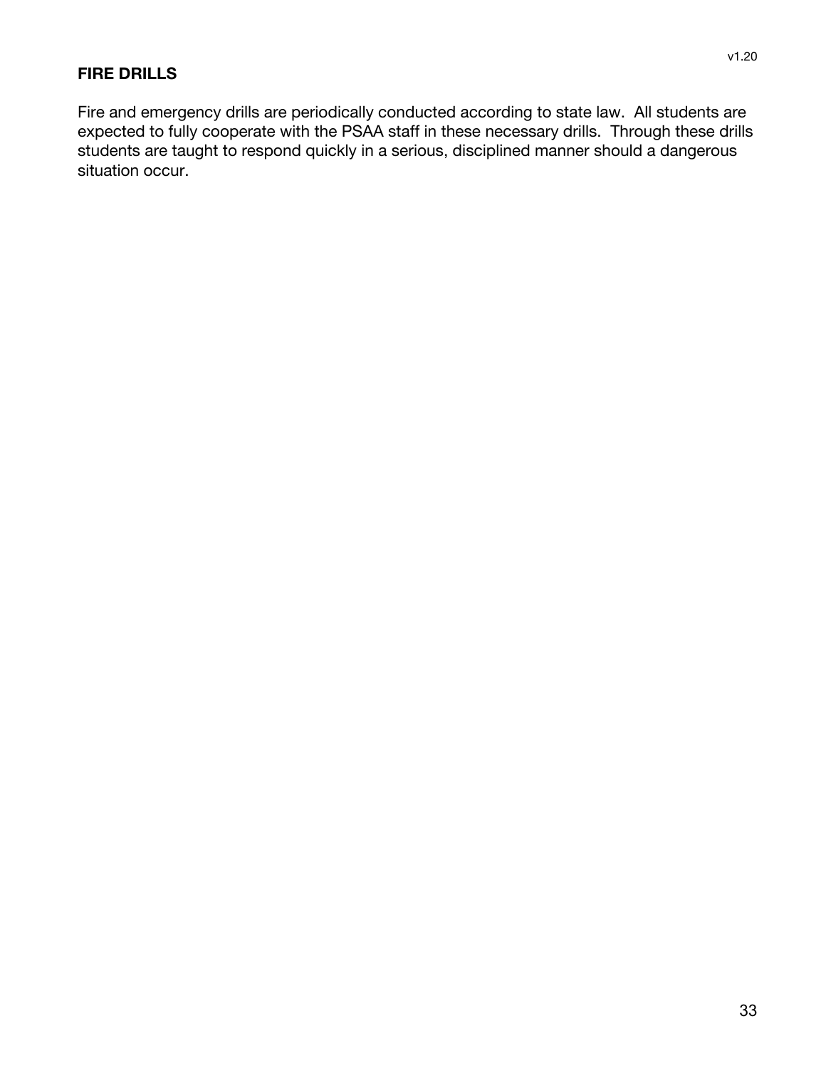#### **FIRE DRILLS**

Fire and emergency drills are periodically conducted according to state law. All students are expected to fully cooperate with the PSAA staff in these necessary drills. Through these drills students are taught to respond quickly in a serious, disciplined manner should a dangerous situation occur.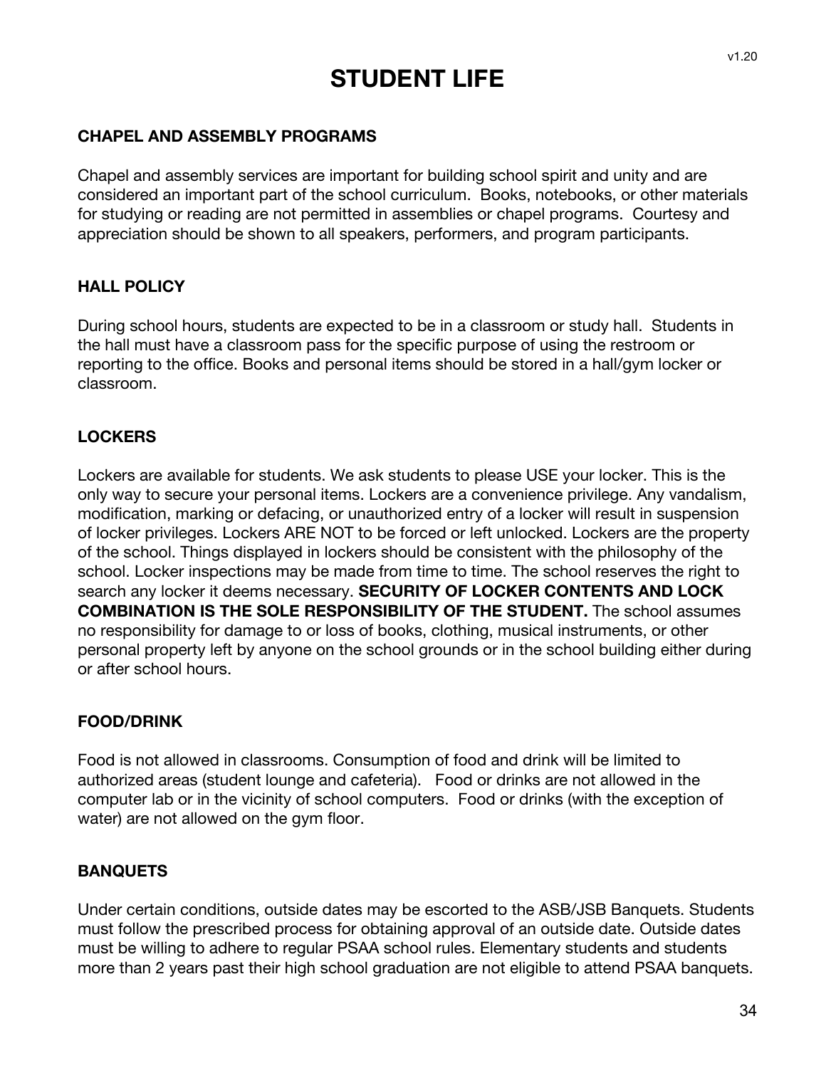## **STUDENT LIFE**

#### **CHAPEL AND ASSEMBLY PROGRAMS**

Chapel and assembly services are important for building school spirit and unity and are considered an important part of the school curriculum. Books, notebooks, or other materials for studying or reading are not permitted in assemblies or chapel programs. Courtesy and appreciation should be shown to all speakers, performers, and program participants.

#### **HALL POLICY**

During school hours, students are expected to be in a classroom or study hall. Students in the hall must have a classroom pass for the specific purpose of using the restroom or reporting to the office. Books and personal items should be stored in a hall/gym locker or classroom.

#### **LOCKERS**

Lockers are available for students. We ask students to please USE your locker. This is the only way to secure your personal items. Lockers are a convenience privilege. Any vandalism, modification, marking or defacing, or unauthorized entry of a locker will result in suspension of locker privileges. Lockers ARE NOT to be forced or left unlocked. Lockers are the property of the school. Things displayed in lockers should be consistent with the philosophy of the school. Locker inspections may be made from time to time. The school reserves the right to search any locker it deems necessary. **SECURITY OF LOCKER CONTENTS AND LOCK COMBINATION IS THE SOLE RESPONSIBILITY OF THE STUDENT.** The school assumes no responsibility for damage to or loss of books, clothing, musical instruments, or other personal property left by anyone on the school grounds or in the school building either during or after school hours.

#### **FOOD/DRINK**

Food is not allowed in classrooms. Consumption of food and drink will be limited to authorized areas (student lounge and cafeteria). Food or drinks are not allowed in the computer lab or in the vicinity of school computers. Food or drinks (with the exception of water) are not allowed on the gym floor.

#### **BANQUETS**

Under certain conditions, outside dates may be escorted to the ASB/JSB Banquets. Students must follow the prescribed process for obtaining approval of an outside date. Outside dates must be willing to adhere to regular PSAA school rules. Elementary students and students more than 2 years past their high school graduation are not eligible to attend PSAA banquets.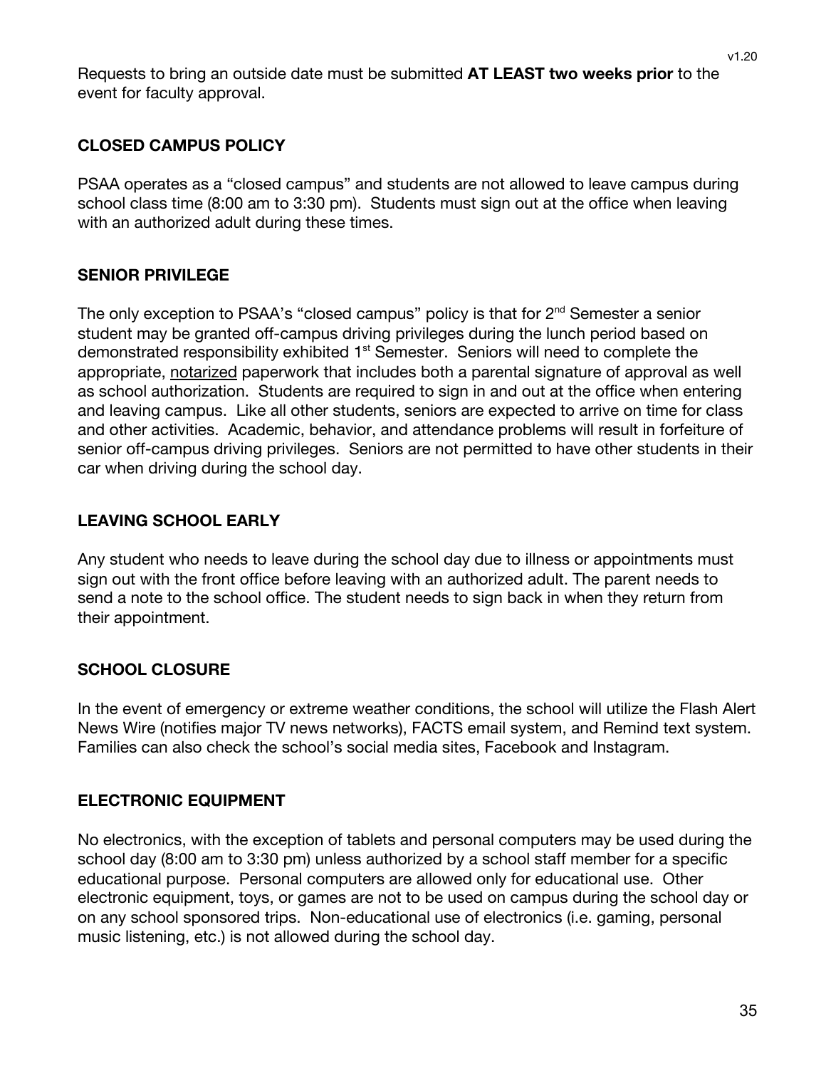Requests to bring an outside date must be submitted **AT LEAST two weeks prior** to the event for faculty approval.

#### **CLOSED CAMPUS POLICY**

PSAA operates as a "closed campus" and students are not allowed to leave campus during school class time (8:00 am to 3:30 pm). Students must sign out at the office when leaving with an authorized adult during these times.

## **SENIOR PRIVILEGE**

The only exception to PSAA's "closed campus" policy is that for  $2<sup>nd</sup>$  Semester a senior student may be granted off-campus driving privileges during the lunch period based on demonstrated responsibility exhibited 1<sup>st</sup> Semester. Seniors will need to complete the appropriate, notarized paperwork that includes both a parental signature of approval as well as school authorization. Students are required to sign in and out at the office when entering and leaving campus. Like all other students, seniors are expected to arrive on time for class and other activities. Academic, behavior, and attendance problems will result in forfeiture of senior off-campus driving privileges. Seniors are not permitted to have other students in their car when driving during the school day.

## **LEAVING SCHOOL EARLY**

Any student who needs to leave during the school day due to illness or appointments must sign out with the front office before leaving with an authorized adult. The parent needs to send a note to the school office. The student needs to sign back in when they return from their appointment.

## **SCHOOL CLOSURE**

In the event of emergency or extreme weather conditions, the school will utilize the Flash Alert News Wire (notifies major TV news networks), FACTS email system, and Remind text system. Families can also check the school's social media sites, Facebook and Instagram.

#### **ELECTRONIC EQUIPMENT**

No electronics, with the exception of tablets and personal computers may be used during the school day (8:00 am to 3:30 pm) unless authorized by a school staff member for a specific educational purpose. Personal computers are allowed only for educational use. Other electronic equipment, toys, or games are not to be used on campus during the school day or on any school sponsored trips. Non-educational use of electronics (i.e. gaming, personal music listening, etc.) is not allowed during the school day.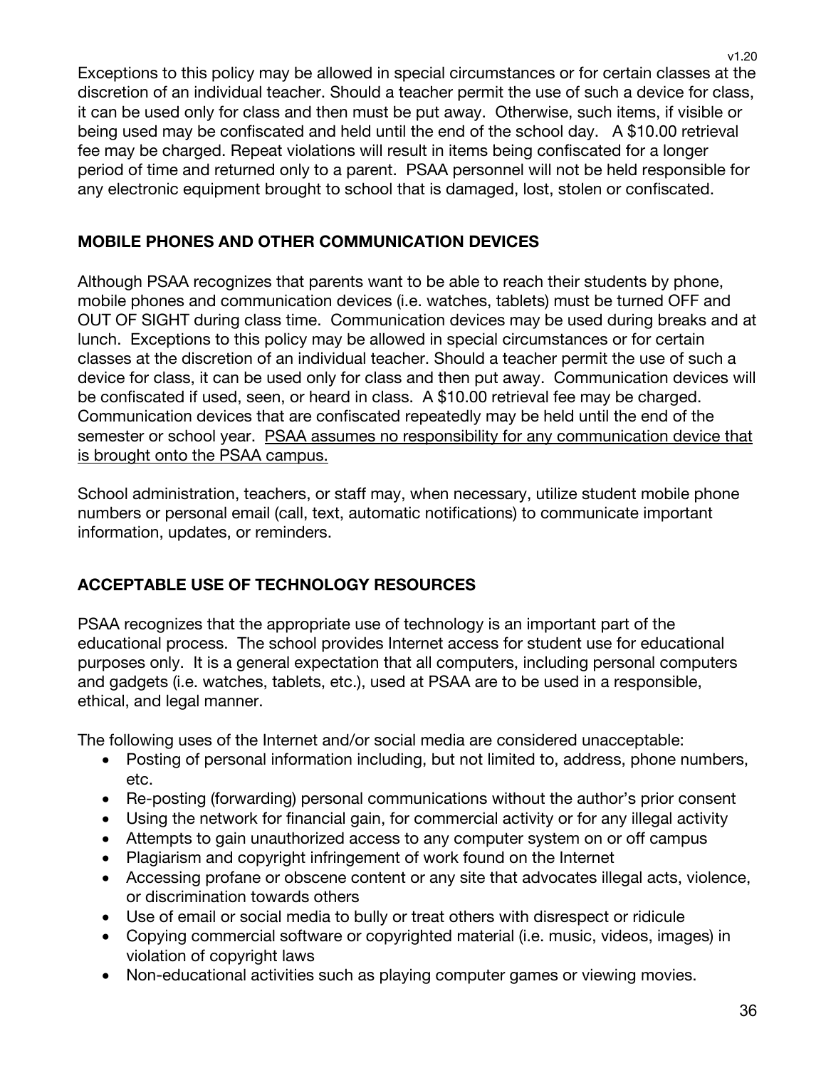Exceptions to this policy may be allowed in special circumstances or for certain classes at the discretion of an individual teacher. Should a teacher permit the use of such a device for class, it can be used only for class and then must be put away. Otherwise, such items, if visible or being used may be confiscated and held until the end of the school day. A \$10.00 retrieval fee may be charged. Repeat violations will result in items being confiscated for a longer period of time and returned only to a parent. PSAA personnel will not be held responsible for any electronic equipment brought to school that is damaged, lost, stolen or confiscated.

## **MOBILE PHONES AND OTHER COMMUNICATION DEVICES**

Although PSAA recognizes that parents want to be able to reach their students by phone, mobile phones and communication devices (i.e. watches, tablets) must be turned OFF and OUT OF SIGHT during class time. Communication devices may be used during breaks and at lunch. Exceptions to this policy may be allowed in special circumstances or for certain classes at the discretion of an individual teacher. Should a teacher permit the use of such a device for class, it can be used only for class and then put away. Communication devices will be confiscated if used, seen, or heard in class. A \$10.00 retrieval fee may be charged. Communication devices that are confiscated repeatedly may be held until the end of the semester or school year. PSAA assumes no responsibility for any communication device that is brought onto the PSAA campus.

School administration, teachers, or staff may, when necessary, utilize student mobile phone numbers or personal email (call, text, automatic notifications) to communicate important information, updates, or reminders.

## **ACCEPTABLE USE OF TECHNOLOGY RESOURCES**

PSAA recognizes that the appropriate use of technology is an important part of the educational process. The school provides Internet access for student use for educational purposes only. It is a general expectation that all computers, including personal computers and gadgets (i.e. watches, tablets, etc.), used at PSAA are to be used in a responsible, ethical, and legal manner.

The following uses of the Internet and/or social media are considered unacceptable:

- Posting of personal information including, but not limited to, address, phone numbers, etc.
- Re-posting (forwarding) personal communications without the author's prior consent
- Using the network for financial gain, for commercial activity or for any illegal activity
- Attempts to gain unauthorized access to any computer system on or off campus
- Plagiarism and copyright infringement of work found on the Internet
- Accessing profane or obscene content or any site that advocates illegal acts, violence, or discrimination towards others
- Use of email or social media to bully or treat others with disrespect or ridicule
- Copying commercial software or copyrighted material (i.e. music, videos, images) in violation of copyright laws
- Non-educational activities such as playing computer games or viewing movies.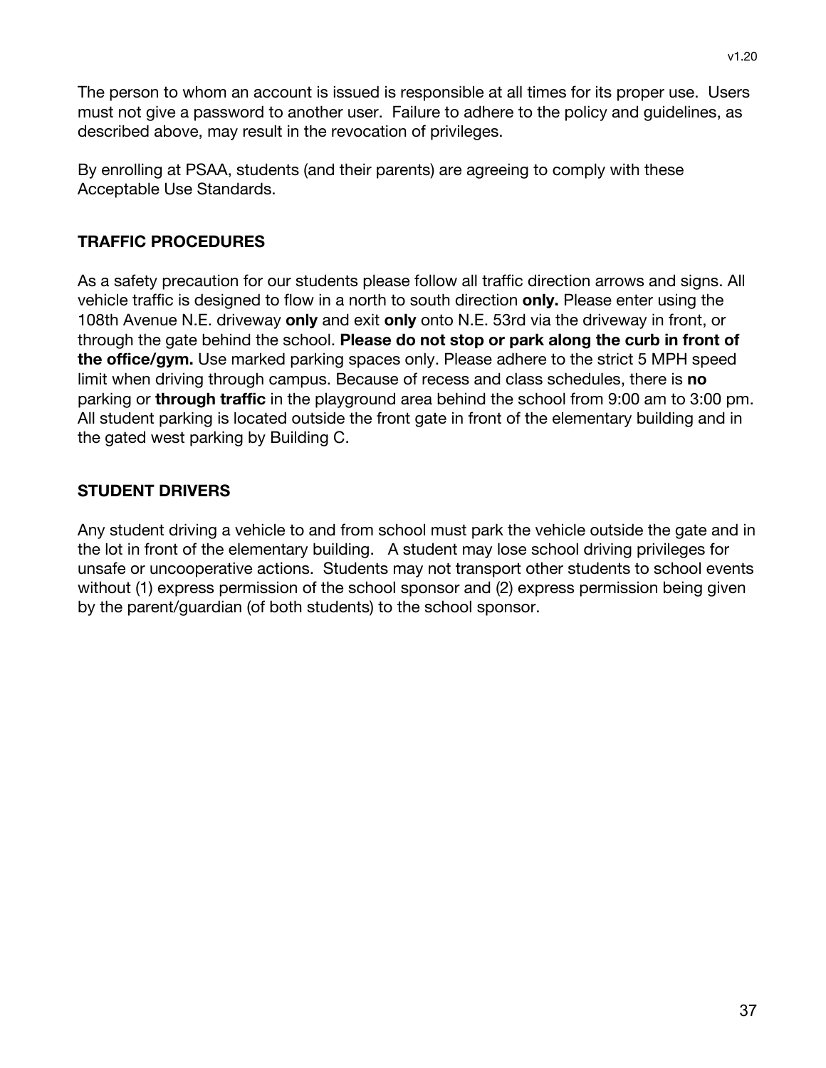v1.20

The person to whom an account is issued is responsible at all times for its proper use. Users must not give a password to another user. Failure to adhere to the policy and guidelines, as described above, may result in the revocation of privileges.

By enrolling at PSAA, students (and their parents) are agreeing to comply with these Acceptable Use Standards.

## **TRAFFIC PROCEDURES**

As a safety precaution for our students please follow all traffic direction arrows and signs. All vehicle traffic is designed to flow in a north to south direction **only.** Please enter using the 108th Avenue N.E. driveway **only** and exit **only** onto N.E. 53rd via the driveway in front, or through the gate behind the school. **Please do not stop or park along the curb in front of the office/gym.** Use marked parking spaces only. Please adhere to the strict 5 MPH speed limit when driving through campus. Because of recess and class schedules, there is **no** parking or **through traffic** in the playground area behind the school from 9:00 am to 3:00 pm. All student parking is located outside the front gate in front of the elementary building and in the gated west parking by Building C.

## **STUDENT DRIVERS**

Any student driving a vehicle to and from school must park the vehicle outside the gate and in the lot in front of the elementary building. A student may lose school driving privileges for unsafe or uncooperative actions. Students may not transport other students to school events without (1) express permission of the school sponsor and (2) express permission being given by the parent/guardian (of both students) to the school sponsor.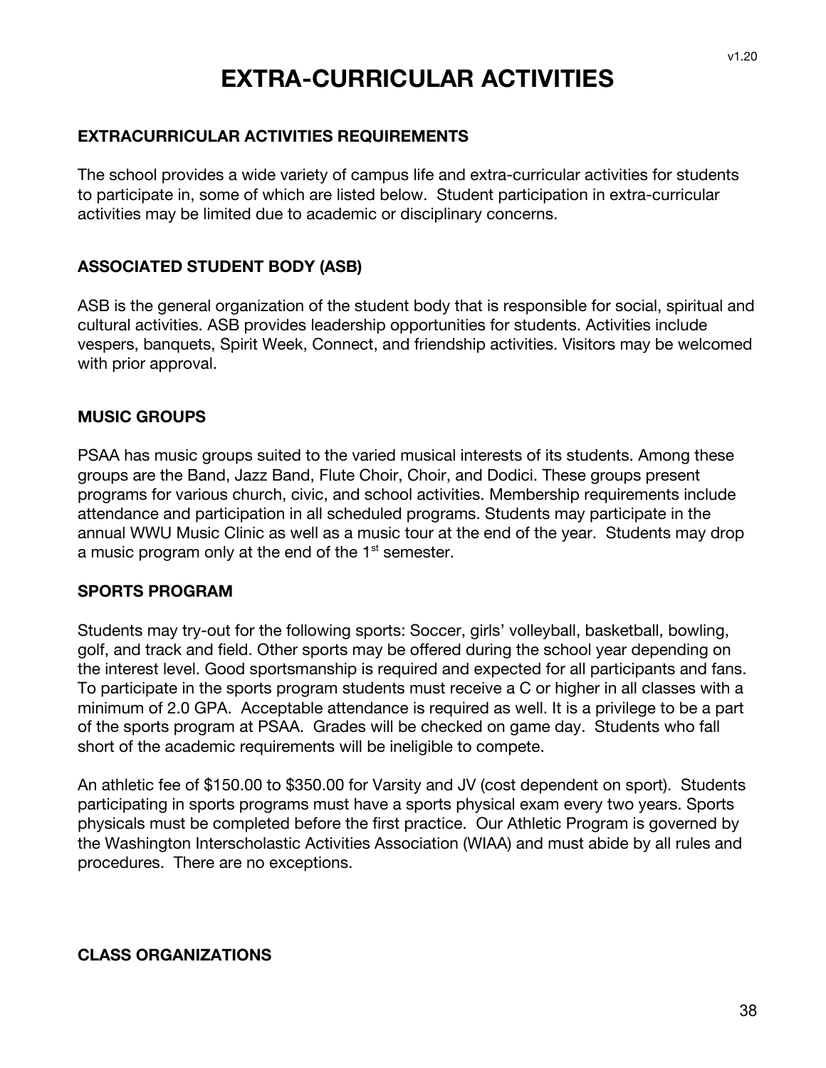## **EXTRA-CURRICULAR ACTIVITIES**

#### **EXTRACURRICULAR ACTIVITIES REQUIREMENTS**

The school provides a wide variety of campus life and extra-curricular activities for students to participate in, some of which are listed below. Student participation in extra-curricular activities may be limited due to academic or disciplinary concerns.

#### **ASSOCIATED STUDENT BODY (ASB)**

ASB is the general organization of the student body that is responsible for social, spiritual and cultural activities. ASB provides leadership opportunities for students. Activities include vespers, banquets, Spirit Week, Connect, and friendship activities. Visitors may be welcomed with prior approval.

#### **MUSIC GROUPS**

PSAA has music groups suited to the varied musical interests of its students. Among these groups are the Band, Jazz Band, Flute Choir, Choir, and Dodici. These groups present programs for various church, civic, and school activities. Membership requirements include attendance and participation in all scheduled programs. Students may participate in the annual WWU Music Clinic as well as a music tour at the end of the year. Students may drop a music program only at the end of the  $1<sup>st</sup>$  semester.

#### **SPORTS PROGRAM**

Students may try-out for the following sports: Soccer, girls' volleyball, basketball, bowling, golf, and track and field. Other sports may be offered during the school year depending on the interest level. Good sportsmanship is required and expected for all participants and fans. To participate in the sports program students must receive a C or higher in all classes with a minimum of 2.0 GPA. Acceptable attendance is required as well. It is a privilege to be a part of the sports program at PSAA. Grades will be checked on game day. Students who fall short of the academic requirements will be ineligible to compete.

An athletic fee of \$150.00 to \$350.00 for Varsity and JV (cost dependent on sport). Students participating in sports programs must have a sports physical exam every two years. Sports physicals must be completed before the first practice. Our Athletic Program is governed by the Washington Interscholastic Activities Association (WIAA) and must abide by all rules and procedures. There are no exceptions.

#### **CLASS ORGANIZATIONS**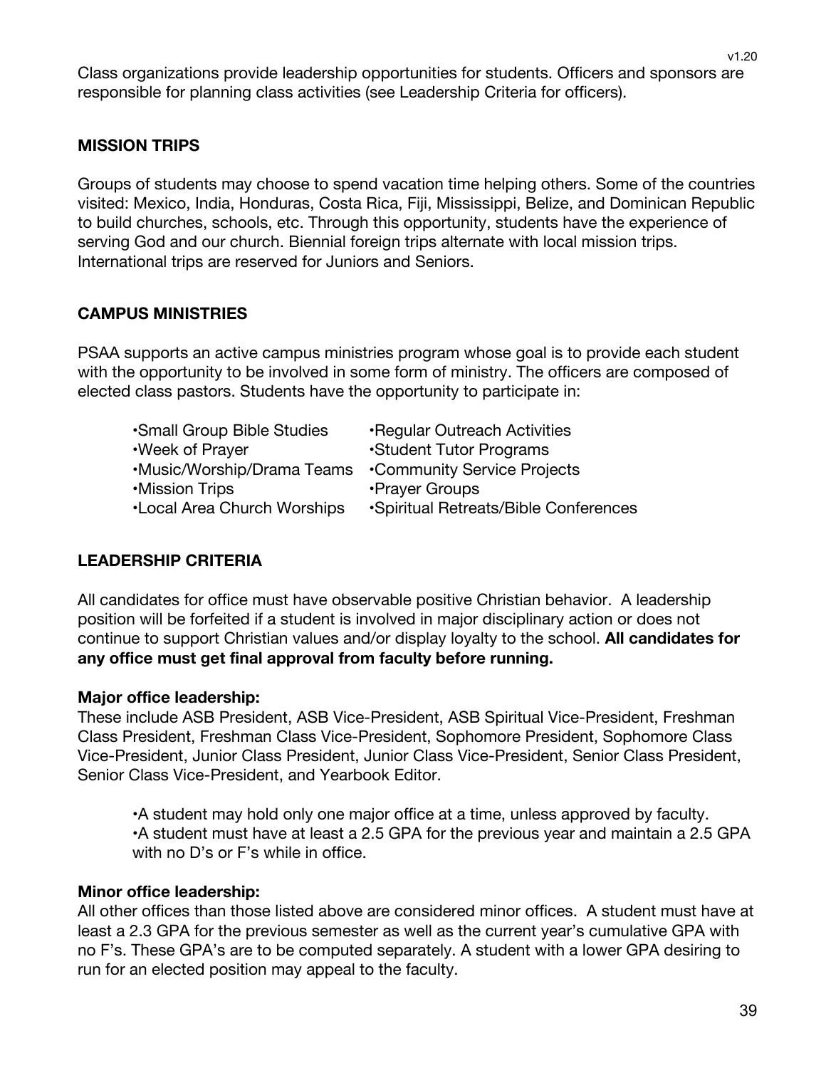v1.20

Class organizations provide leadership opportunities for students. Officers and sponsors are responsible for planning class activities (see Leadership Criteria for officers).

## **MISSION TRIPS**

Groups of students may choose to spend vacation time helping others. Some of the countries visited: Mexico, India, Honduras, Costa Rica, Fiji, Mississippi, Belize, and Dominican Republic to build churches, schools, etc. Through this opportunity, students have the experience of serving God and our church. Biennial foreign trips alternate with local mission trips. International trips are reserved for Juniors and Seniors.

## **CAMPUS MINISTRIES**

PSAA supports an active campus ministries program whose goal is to provide each student with the opportunity to be involved in some form of ministry. The officers are composed of elected class pastors. Students have the opportunity to participate in:

- •Small Group Bible Studies •Regular Outreach Activities
- •Week of Prayer •Student Tutor Programs
- •Music/Worship/Drama Teams •Community Service Projects
- 
- 
- 
- •Mission Trips **•Prayer Groups**
- •Local Area Church Worships •Spiritual Retreats/Bible Conferences

#### **LEADERSHIP CRITERIA**

All candidates for office must have observable positive Christian behavior. A leadership position will be forfeited if a student is involved in major disciplinary action or does not continue to support Christian values and/or display loyalty to the school. **All candidates for any office must get final approval from faculty before running.**

#### **Major office leadership:**

These include ASB President, ASB Vice-President, ASB Spiritual Vice-President, Freshman Class President, Freshman Class Vice-President, Sophomore President, Sophomore Class Vice-President, Junior Class President, Junior Class Vice-President, Senior Class President, Senior Class Vice-President, and Yearbook Editor.

•A student may hold only one major office at a time, unless approved by faculty. •A student must have at least a 2.5 GPA for the previous year and maintain a 2.5 GPA with no D's or F's while in office.

#### **Minor office leadership:**

All other offices than those listed above are considered minor offices. A student must have at least a 2.3 GPA for the previous semester as well as the current year's cumulative GPA with no F's. These GPA's are to be computed separately. A student with a lower GPA desiring to run for an elected position may appeal to the faculty.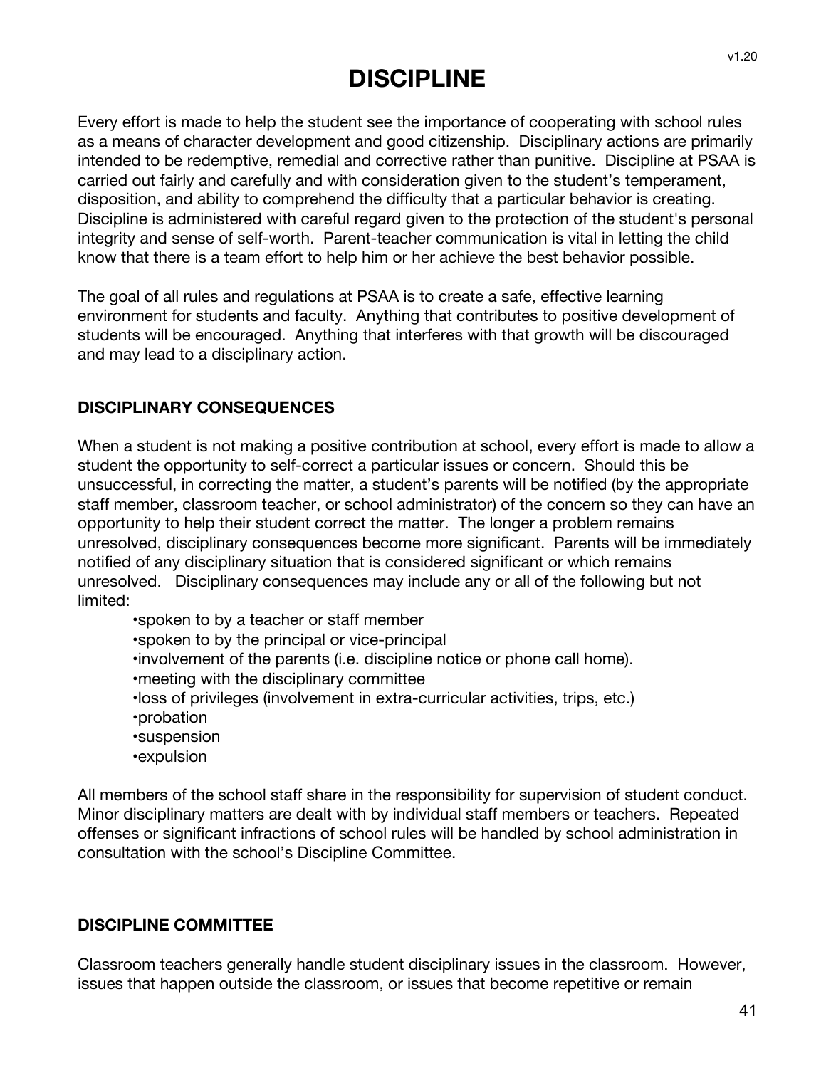## **DISCIPLINE**

Every effort is made to help the student see the importance of cooperating with school rules as a means of character development and good citizenship. Disciplinary actions are primarily intended to be redemptive, remedial and corrective rather than punitive. Discipline at PSAA is carried out fairly and carefully and with consideration given to the student's temperament, disposition, and ability to comprehend the difficulty that a particular behavior is creating. Discipline is administered with careful regard given to the protection of the student's personal integrity and sense of self-worth. Parent-teacher communication is vital in letting the child know that there is a team effort to help him or her achieve the best behavior possible.

The goal of all rules and regulations at PSAA is to create a safe, effective learning environment for students and faculty. Anything that contributes to positive development of students will be encouraged. Anything that interferes with that growth will be discouraged and may lead to a disciplinary action.

#### **DISCIPLINARY CONSEQUENCES**

When a student is not making a positive contribution at school, every effort is made to allow a student the opportunity to self-correct a particular issues or concern. Should this be unsuccessful, in correcting the matter, a student's parents will be notified (by the appropriate staff member, classroom teacher, or school administrator) of the concern so they can have an opportunity to help their student correct the matter. The longer a problem remains unresolved, disciplinary consequences become more significant. Parents will be immediately notified of any disciplinary situation that is considered significant or which remains unresolved. Disciplinary consequences may include any or all of the following but not limited:

- •spoken to by a teacher or staff member
- •spoken to by the principal or vice-principal
- •involvement of the parents (i.e. discipline notice or phone call home).
- •meeting with the disciplinary committee
- •loss of privileges (involvement in extra-curricular activities, trips, etc.)
- •probation
- •suspension
- •expulsion

All members of the school staff share in the responsibility for supervision of student conduct. Minor disciplinary matters are dealt with by individual staff members or teachers. Repeated offenses or significant infractions of school rules will be handled by school administration in consultation with the school's Discipline Committee.

#### **DISCIPLINE COMMITTEE**

Classroom teachers generally handle student disciplinary issues in the classroom. However, issues that happen outside the classroom, or issues that become repetitive or remain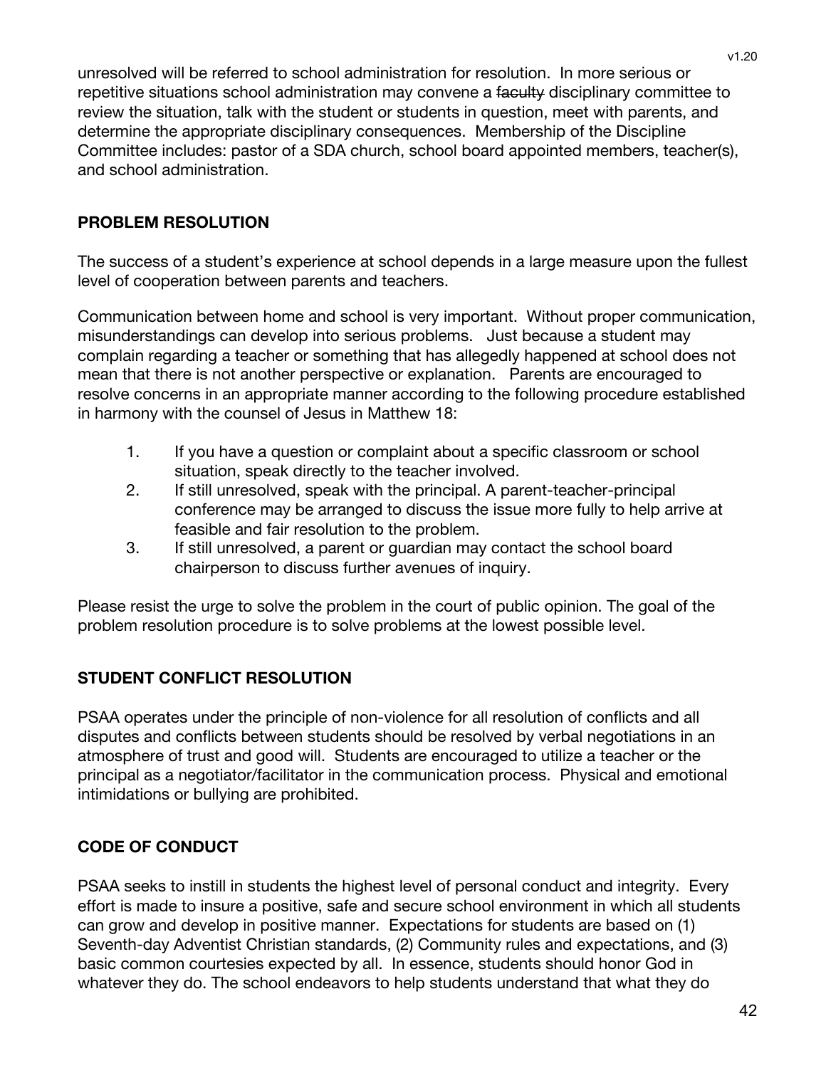unresolved will be referred to school administration for resolution. In more serious or repetitive situations school administration may convene a faculty disciplinary committee to review the situation, talk with the student or students in question, meet with parents, and determine the appropriate disciplinary consequences. Membership of the Discipline Committee includes: pastor of a SDA church, school board appointed members, teacher(s), and school administration.

## **PROBLEM RESOLUTION**

The success of a student's experience at school depends in a large measure upon the fullest level of cooperation between parents and teachers.

Communication between home and school is very important. Without proper communication, misunderstandings can develop into serious problems. Just because a student may complain regarding a teacher or something that has allegedly happened at school does not mean that there is not another perspective or explanation. Parents are encouraged to resolve concerns in an appropriate manner according to the following procedure established in harmony with the counsel of Jesus in Matthew 18:

- 1. If you have a question or complaint about a specific classroom or school situation, speak directly to the teacher involved.
- 2. If still unresolved, speak with the principal. A parent-teacher-principal conference may be arranged to discuss the issue more fully to help arrive at feasible and fair resolution to the problem.
- 3. If still unresolved, a parent or guardian may contact the school board chairperson to discuss further avenues of inquiry.

Please resist the urge to solve the problem in the court of public opinion. The goal of the problem resolution procedure is to solve problems at the lowest possible level.

## **STUDENT CONFLICT RESOLUTION**

PSAA operates under the principle of non-violence for all resolution of conflicts and all disputes and conflicts between students should be resolved by verbal negotiations in an atmosphere of trust and good will. Students are encouraged to utilize a teacher or the principal as a negotiator/facilitator in the communication process. Physical and emotional intimidations or bullying are prohibited.

## **CODE OF CONDUCT**

PSAA seeks to instill in students the highest level of personal conduct and integrity. Every effort is made to insure a positive, safe and secure school environment in which all students can grow and develop in positive manner. Expectations for students are based on (1) Seventh-day Adventist Christian standards, (2) Community rules and expectations, and (3) basic common courtesies expected by all. In essence, students should honor God in whatever they do. The school endeavors to help students understand that what they do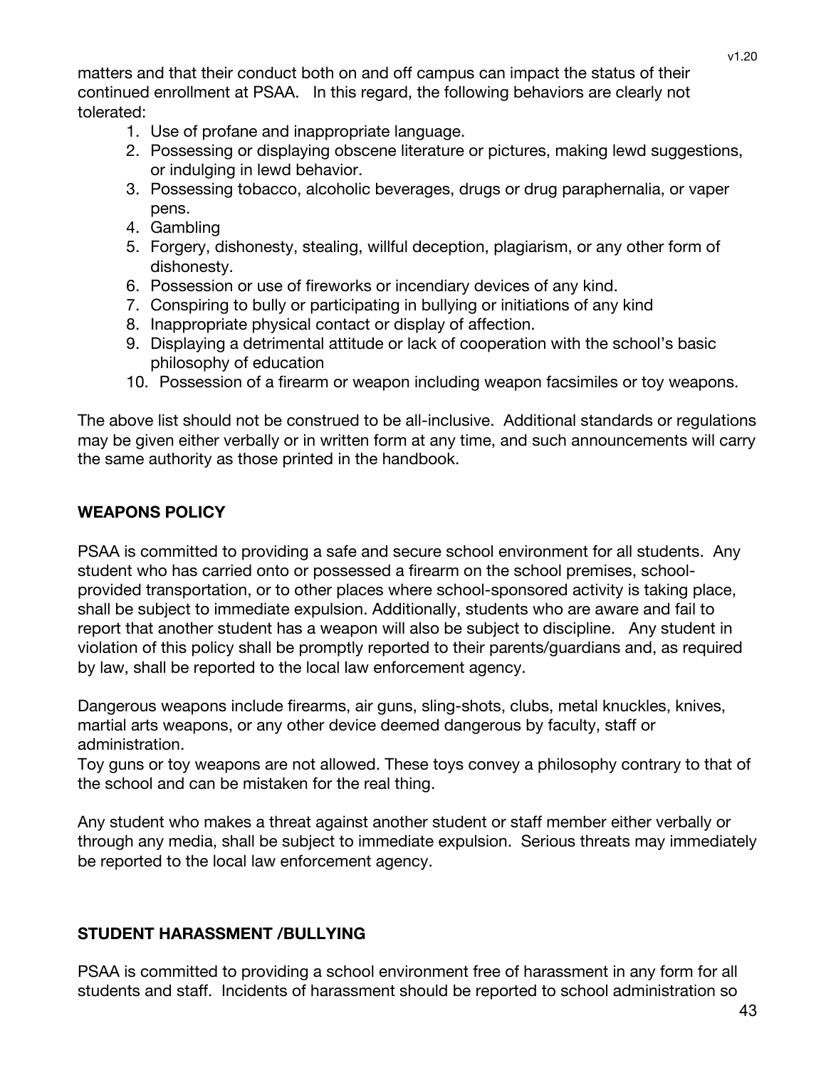matters and that their conduct both on and off campus can impact the status of their continued enrollment at PSAA. In this regard, the following behaviors are clearly not tolerated:

- 1. Use of profane and inappropriate language.
- 2. Possessing or displaying obscene literature or pictures, making lewd suggestions, or indulging in lewd behavior.
- 3. Possessing tobacco, alcoholic beverages, drugs or drug paraphernalia, or vaper pens.
- 4. Gambling
- 5. Forgery, dishonesty, stealing, willful deception, plagiarism, or any other form of dishonesty.
- 6. Possession or use of fireworks or incendiary devices of any kind.
- 7. Conspiring to bully or participating in bullying or initiations of any kind
- 8. Inappropriate physical contact or display of affection.
- 9. Displaying a detrimental attitude or lack of cooperation with the school's basic philosophy of education
- 10. Possession of a firearm or weapon including weapon facsimiles or toy weapons.

The above list should not be construed to be all-inclusive. Additional standards or regulations may be given either verbally or in written form at any time, and such announcements will carry the same authority as those printed in the handbook.

## **WEAPONS POLICY**

PSAA is committed to providing a safe and secure school environment for all students. Any student who has carried onto or possessed a firearm on the school premises, schoolprovided transportation, or to other places where school-sponsored activity is taking place, shall be subject to immediate expulsion. Additionally, students who are aware and fail to report that another student has a weapon will also be subject to discipline. Any student in violation of this policy shall be promptly reported to their parents/guardians and, as required by law, shall be reported to the local law enforcement agency.

Dangerous weapons include firearms, air guns, sling-shots, clubs, metal knuckles, knives, martial arts weapons, or any other device deemed dangerous by faculty, staff or administration.

Toy guns or toy weapons are not allowed. These toys convey a philosophy contrary to that of the school and can be mistaken for the real thing.

Any student who makes a threat against another student or staff member either verbally or through any media, shall be subject to immediate expulsion. Serious threats may immediately be reported to the local law enforcement agency.

## **STUDENT HARASSMENT /BULLYING**

PSAA is committed to providing a school environment free of harassment in any form for all students and staff. Incidents of harassment should be reported to school administration so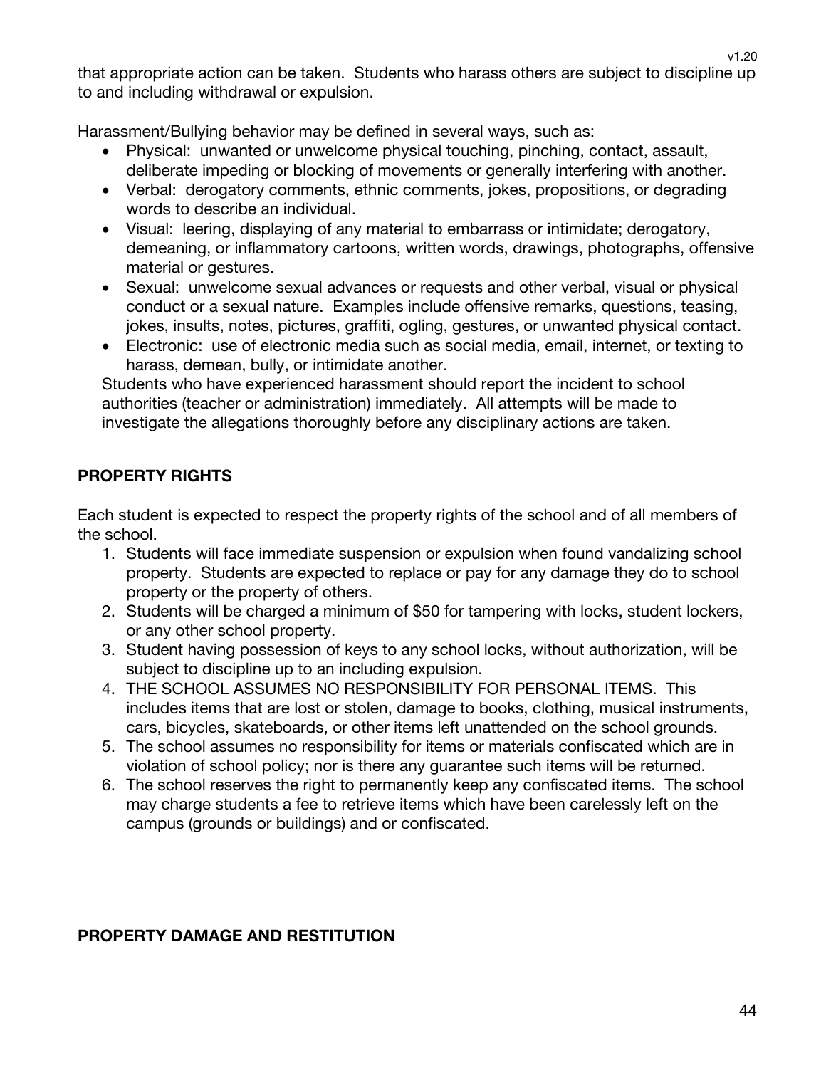v1.20 that appropriate action can be taken. Students who harass others are subject to discipline up

Harassment/Bullying behavior may be defined in several ways, such as:

to and including withdrawal or expulsion.

- Physical: unwanted or unwelcome physical touching, pinching, contact, assault, deliberate impeding or blocking of movements or generally interfering with another.
- Verbal: derogatory comments, ethnic comments, jokes, propositions, or degrading words to describe an individual.
- Visual: leering, displaying of any material to embarrass or intimidate; derogatory, demeaning, or inflammatory cartoons, written words, drawings, photographs, offensive material or gestures.
- Sexual: unwelcome sexual advances or requests and other verbal, visual or physical conduct or a sexual nature. Examples include offensive remarks, questions, teasing, jokes, insults, notes, pictures, graffiti, ogling, gestures, or unwanted physical contact.
- Electronic: use of electronic media such as social media, email, internet, or texting to harass, demean, bully, or intimidate another.

Students who have experienced harassment should report the incident to school authorities (teacher or administration) immediately. All attempts will be made to investigate the allegations thoroughly before any disciplinary actions are taken.

## **PROPERTY RIGHTS**

Each student is expected to respect the property rights of the school and of all members of the school.

- 1. Students will face immediate suspension or expulsion when found vandalizing school property. Students are expected to replace or pay for any damage they do to school property or the property of others.
- 2. Students will be charged a minimum of \$50 for tampering with locks, student lockers, or any other school property.
- 3. Student having possession of keys to any school locks, without authorization, will be subject to discipline up to an including expulsion.
- 4. THE SCHOOL ASSUMES NO RESPONSIBILITY FOR PERSONAL ITEMS. This includes items that are lost or stolen, damage to books, clothing, musical instruments, cars, bicycles, skateboards, or other items left unattended on the school grounds.
- 5. The school assumes no responsibility for items or materials confiscated which are in violation of school policy; nor is there any guarantee such items will be returned.
- 6. The school reserves the right to permanently keep any confiscated items. The school may charge students a fee to retrieve items which have been carelessly left on the campus (grounds or buildings) and or confiscated.

#### **PROPERTY DAMAGE AND RESTITUTION**